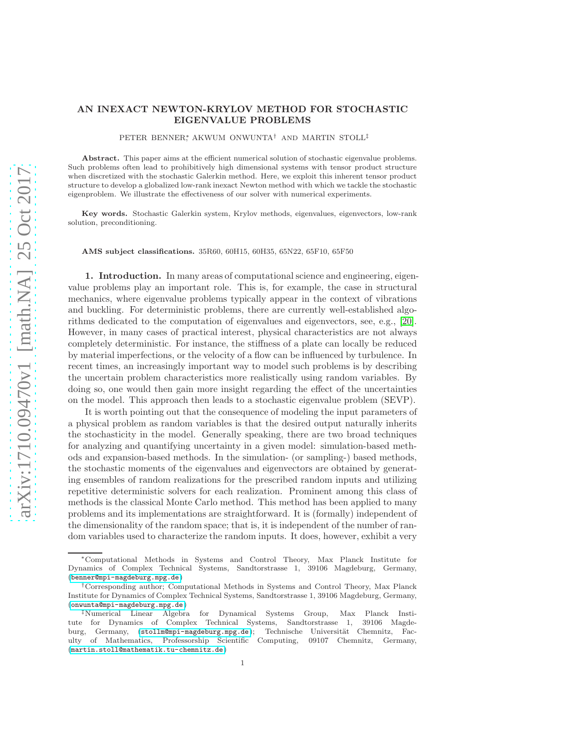# AN INEXACT NEWTON-KRYLOV METHOD FOR STOCHASTIC EIGENVALUE PROBLEMS

PETER BENNER∗, AKWUM ONWUNTA† AND MARTIN STOLL‡

Abstract. This paper aims at the efficient numerical solution of stochastic eigenvalue problems. Such problems often lead to prohibitively high dimensional systems with tensor product structure when discretized with the stochastic Galerkin method. Here, we exploit this inherent tensor product structure to develop a globalized low-rank inexact Newton method with which we tackle the stochastic eigenproblem. We illustrate the effectiveness of our solver with numerical experiments.

Key words. Stochastic Galerkin system, Krylov methods, eigenvalues, eigenvectors, low-rank solution, preconditioning.

AMS subject classifications. 35R60, 60H15, 60H35, 65N22, 65F10, 65F50

1. Introduction. In many areas of computational science and engineering, eigenvalue problems play an important role. This is, for example, the case in structural mechanics, where eigenvalue problems typically appear in the context of vibrations and buckling. For deterministic problems, there are currently well-established algorithms dedicated to the computation of eigenvalues and eigenvectors, see, e.g., [\[20\]](#page-19-0). However, in many cases of practical interest, physical characteristics are not always completely deterministic. For instance, the stiffness of a plate can locally be reduced by material imperfections, or the velocity of a flow can be influenced by turbulence. In recent times, an increasingly important way to model such problems is by describing the uncertain problem characteristics more realistically using random variables. By doing so, one would then gain more insight regarding the effect of the uncertainties on the model. This approach then leads to a stochastic eigenvalue problem (SEVP).

It is worth pointing out that the consequence of modeling the input parameters of a physical problem as random variables is that the desired output naturally inherits the stochasticity in the model. Generally speaking, there are two broad techniques for analyzing and quantifying uncertainty in a given model: simulation-based methods and expansion-based methods. In the simulation- (or sampling-) based methods, the stochastic moments of the eigenvalues and eigenvectors are obtained by generating ensembles of random realizations for the prescribed random inputs and utilizing repetitive deterministic solvers for each realization. Prominent among this class of methods is the classical Monte Carlo method. This method has been applied to many problems and its implementations are straightforward. It is (formally) independent of the dimensionality of the random space; that is, it is independent of the number of random variables used to characterize the random inputs. It does, however, exhibit a very

<sup>∗</sup>Computational Methods in Systems and Control Theory, Max Planck Institute for Dynamics of Complex Technical Systems, Sandtorstrasse 1, 39106 Magdeburg, Germany, (<benner@mpi-magdeburg.mpg.de>)

<sup>†</sup>Corresponding author; Computational Methods in Systems and Control Theory, Max Planck Institute for Dynamics of Complex Technical Systems, Sandtorstrasse 1, 39106 Magdeburg, Germany, (<onwunta@mpi-magdeburg.mpg.de>)

<sup>‡</sup>Numerical Linear Algebra for Dynamical Systems Group, Max Planck Institute for Dynamics of Complex Technical Systems, Sandtorstrasse 1, 39106 Magdeburg, Germany, (<stollm@mpi-magdeburg.mpg.de>); Technische Universität Chemnitz, Faculty of Mathematics, Professorship Scientific Computing, 09107 Chemnitz, Germany, (<martin.stoll@mathematik.tu-chemnitz.de>)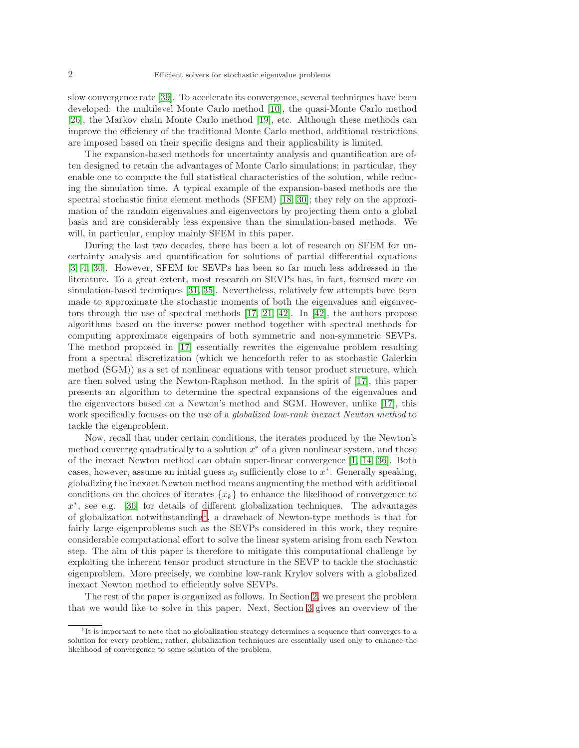slow convergence rate [\[39\]](#page-20-0). To accelerate its convergence, several techniques have been developed: the multilevel Monte Carlo method [\[10\]](#page-19-1), the quasi-Monte Carlo method [\[26\]](#page-19-2), the Markov chain Monte Carlo method [\[19\]](#page-19-3), etc. Although these methods can improve the efficiency of the traditional Monte Carlo method, additional restrictions are imposed based on their specific designs and their applicability is limited.

The expansion-based methods for uncertainty analysis and quantification are often designed to retain the advantages of Monte Carlo simulations; in particular, they enable one to compute the full statistical characteristics of the solution, while reducing the simulation time. A typical example of the expansion-based methods are the spectral stochastic finite element methods (SFEM) [\[18,](#page-19-4) [30\]](#page-20-1); they rely on the approximation of the random eigenvalues and eigenvectors by projecting them onto a global basis and are considerably less expensive than the simulation-based methods. We will, in particular, employ mainly SFEM in this paper.

During the last two decades, there has been a lot of research on SFEM for uncertainty analysis and quantification for solutions of partial differential equations [\[3,](#page-18-0) [4,](#page-19-5) [30\]](#page-20-1). However, SFEM for SEVPs has been so far much less addressed in the literature. To a great extent, most research on SEVPs has, in fact, focused more on simulation-based techniques [\[31,](#page-20-2) [35\]](#page-20-3). Nevertheless, relatively few attempts have been made to approximate the stochastic moments of both the eigenvalues and eigenvectors through the use of spectral methods  $[17, 21, 42]$  $[17, 21, 42]$  $[17, 21, 42]$ . In  $[42]$ , the authors propose algorithms based on the inverse power method together with spectral methods for computing approximate eigenpairs of both symmetric and non-symmetric SEVPs. The method proposed in [\[17\]](#page-19-6) essentially rewrites the eigenvalue problem resulting from a spectral discretization (which we henceforth refer to as stochastic Galerkin method (SGM)) as a set of nonlinear equations with tensor product structure, which are then solved using the Newton-Raphson method. In the spirit of [\[17\]](#page-19-6), this paper presents an algorithm to determine the spectral expansions of the eigenvalues and the eigenvectors based on a Newton's method and SGM. However, unlike [\[17\]](#page-19-6), this work specifically focuses on the use of a globalized low-rank inexact Newton method to tackle the eigenproblem.

Now, recall that under certain conditions, the iterates produced by the Newton's method converge quadratically to a solution  $x^*$  of a given nonlinear system, and those of the inexact Newton method can obtain super-linear convergence [\[1,](#page-18-1) [14,](#page-19-8) [36\]](#page-20-5). Both cases, however, assume an initial guess  $x_0$  sufficiently close to  $x^*$ . Generally speaking, globalizing the inexact Newton method means augmenting the method with additional conditions on the choices of iterates  ${x_k}$  to enhance the likelihood of convergence to x ∗ , see e.g. [\[36\]](#page-20-5) for details of different globalization techniques. The advantages of globalization notwithstanding<sup>[1](#page-1-0)</sup>, a drawback of Newton-type methods is that for fairly large eigenproblems such as the SEVPs considered in this work, they require considerable computational effort to solve the linear system arising from each Newton step. The aim of this paper is therefore to mitigate this computational challenge by exploiting the inherent tensor product structure in the SEVP to tackle the stochastic eigenproblem. More precisely, we combine low-rank Krylov solvers with a globalized inexact Newton method to efficiently solve SEVPs.

The rest of the paper is organized as follows. In Section [2,](#page-2-0) we present the problem that we would like to solve in this paper. Next, Section [3](#page-3-0) gives an overview of the

<span id="page-1-0"></span><sup>&</sup>lt;sup>1</sup>It is important to note that no globalization strategy determines a sequence that converges to a solution for every problem; rather, globalization techniques are essentially used only to enhance the likelihood of convergence to some solution of the problem.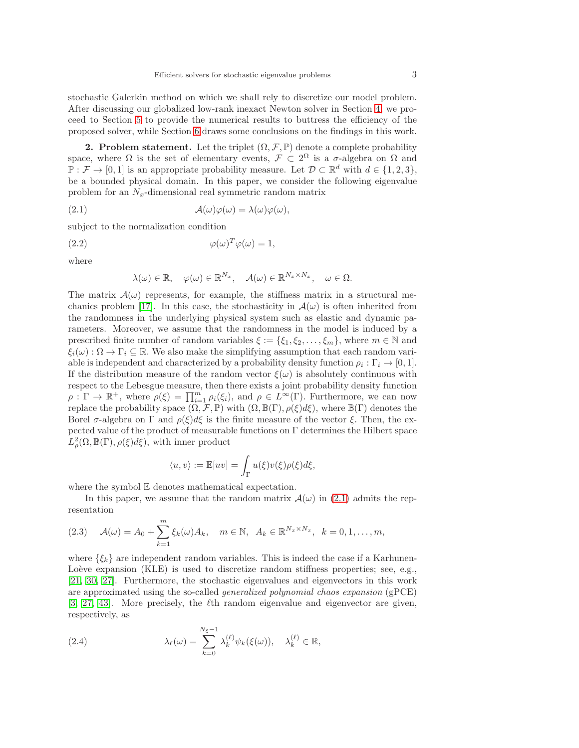stochastic Galerkin method on which we shall rely to discretize our model problem. After discussing our globalized low-rank inexact Newton solver in Section [4,](#page-5-0) we proceed to Section [5](#page-13-0) to provide the numerical results to buttress the efficiency of the proposed solver, while Section [6](#page-18-2) draws some conclusions on the findings in this work.

<span id="page-2-0"></span>2. Problem statement. Let the triplet  $(\Omega, \mathcal{F}, \mathbb{P})$  denote a complete probability space, where  $\Omega$  is the set of elementary events,  $\mathcal{F} \subset 2^{\Omega}$  is a  $\sigma$ -algebra on  $\Omega$  and  $\mathbb{P}: \mathcal{F} \to [0,1]$  is an appropriate probability measure. Let  $\mathcal{D} \subset \mathbb{R}^d$  with  $d \in \{1,2,3\}$ , be a bounded physical domain. In this paper, we consider the following eigenvalue problem for an  $N_x$ -dimensional real symmetric random matrix

(2.1) 
$$
\mathcal{A}(\omega)\varphi(\omega) = \lambda(\omega)\varphi(\omega),
$$

subject to the normalization condition

$$
\varphi(\omega)^T \varphi(\omega) = 1,
$$

where

<span id="page-2-4"></span><span id="page-2-1"></span>
$$
\lambda(\omega) \in \mathbb{R}, \quad \varphi(\omega) \in \mathbb{R}^{N_x}, \quad \mathcal{A}(\omega) \in \mathbb{R}^{N_x \times N_x}, \quad \omega \in \Omega.
$$

The matrix  $\mathcal{A}(\omega)$  represents, for example, the stiffness matrix in a structural me-chanics problem [\[17\]](#page-19-6). In this case, the stochasticity in  $\mathcal{A}(\omega)$  is often inherited from the randomness in the underlying physical system such as elastic and dynamic parameters. Moreover, we assume that the randomness in the model is induced by a prescribed finite number of random variables  $\xi := \{\xi_1, \xi_2, \ldots, \xi_m\}$ , where  $m \in \mathbb{N}$  and  $\xi_i(\omega): \Omega \to \Gamma_i \subseteq \mathbb{R}$ . We also make the simplifying assumption that each random variable is independent and characterized by a probability density function  $\rho_i : \Gamma_i \to [0, 1]$ . If the distribution measure of the random vector  $\xi(\omega)$  is absolutely continuous with respect to the Lebesgue measure, then there exists a joint probability density function  $\rho: \Gamma \to \mathbb{R}^+$ , where  $\rho(\xi) = \prod_{i=1}^m \rho_i(\xi_i)$ , and  $\rho \in L^{\infty}(\Gamma)$ . Furthermore, we can now replace the probability space  $(\Omega, \mathcal{F}, \mathbb{P})$  with  $(\Omega, \mathbb{B}(\Gamma), \rho(\xi)d\xi)$ , where  $\mathbb{B}(\Gamma)$  denotes the Borel σ-algebra on  $\Gamma$  and  $\rho(\xi)d\xi$  is the finite measure of the vector  $\xi$ . Then, the expected value of the product of measurable functions on Γ determines the Hilbert space  $L^2_{\rho}(\Omega,\mathbb{B}(\Gamma),\rho(\xi)d\xi),$  with inner product

$$
\langle u, v \rangle := \mathbb{E}[uv] = \int_{\Gamma} u(\xi) v(\xi) \rho(\xi) d\xi,
$$

where the symbol E denotes mathematical expectation.

In this paper, we assume that the random matrix  $\mathcal{A}(\omega)$  in [\(2.1\)](#page-2-1) admits the representation

<span id="page-2-3"></span>
$$
(2.3) \quad \mathcal{A}(\omega) = A_0 + \sum_{k=1}^m \xi_k(\omega) A_k, \quad m \in \mathbb{N}, \ A_k \in \mathbb{R}^{N_x \times N_x}, \ k = 0, 1, \dots, m,
$$

where  $\{\xi_k\}$  are independent random variables. This is indeed the case if a Karhunen-Loève expansion  $(KLE)$  is used to discretize random stiffness properties; see, e.g., [\[21,](#page-19-7) [30,](#page-20-1) [27\]](#page-19-9). Furthermore, the stochastic eigenvalues and eigenvectors in this work are approximated using the so-called generalized polynomial chaos expansion (gPCE) [\[3,](#page-18-0) [27,](#page-19-9) [43\]](#page-20-6). More precisely, the  $\ell$ th random eigenvalue and eigenvector are given, respectively, as

<span id="page-2-2"></span>(2.4) 
$$
\lambda_{\ell}(\omega) = \sum_{k=0}^{N_{\xi}-1} \lambda_{k}^{(\ell)} \psi_{k}(\xi(\omega)), \quad \lambda_{k}^{(\ell)} \in \mathbb{R},
$$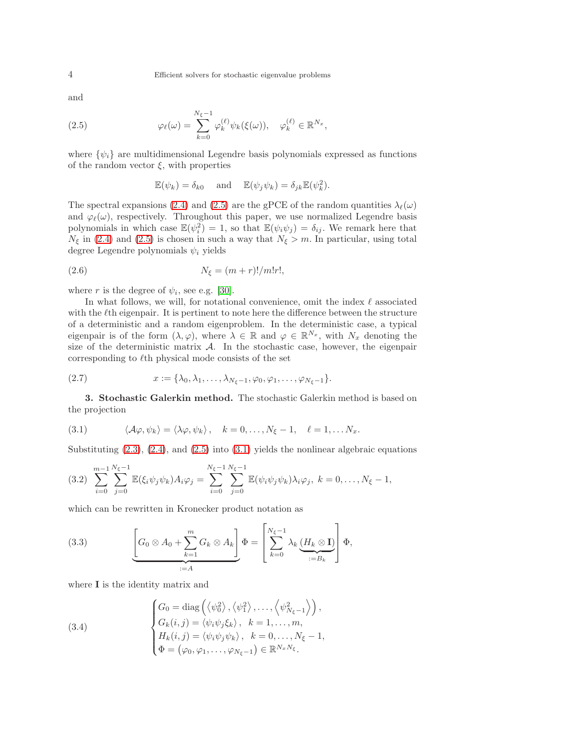and

(2.5) 
$$
\varphi_{\ell}(\omega) = \sum_{k=0}^{N_{\xi}-1} \varphi_{k}^{(\ell)} \psi_{k}(\xi(\omega)), \quad \varphi_{k}^{(\ell)} \in \mathbb{R}^{N_x},
$$

where  $\{\psi_i\}$  are multidimensional Legendre basis polynomials expressed as functions of the random vector  $\xi$ , with properties

<span id="page-3-5"></span><span id="page-3-1"></span>
$$
\mathbb{E}(\psi_k) = \delta_{k0} \quad \text{and} \quad \mathbb{E}(\psi_j \psi_k) = \delta_{jk} \mathbb{E}(\psi_k^2).
$$

The spectral expansions [\(2.4\)](#page-2-2) and [\(2.5\)](#page-3-1) are the gPCE of the random quantities  $\lambda_{\ell}(\omega)$ and  $\varphi_{\ell}(\omega)$ , respectively. Throughout this paper, we use normalized Legendre basis polynomials in which case  $\mathbb{E}(\psi_i^2) = 1$ , so that  $\mathbb{E}(\psi_i \psi_j) = \delta_{ij}$ . We remark here that  $N_{\xi}$  in [\(2.4\)](#page-2-2) and [\(2.5\)](#page-3-1) is chosen in such a way that  $N_{\xi} > m$ . In particular, using total degree Legendre polynomials  $\psi_i$  yields

(2.6) 
$$
N_{\xi} = (m+r)!/m!r!,
$$

where r is the degree of  $\psi_i$ , see e.g. [\[30\]](#page-20-1).

In what follows, we will, for notational convenience, omit the index  $\ell$  associated with the  $\ell$ th eigenpair. It is pertinent to note here the difference between the structure of a deterministic and a random eigenproblem. In the deterministic case, a typical eigenpair is of the form  $(\lambda, \varphi)$ , where  $\lambda \in \mathbb{R}$  and  $\varphi \in \mathbb{R}^{N_x}$ , with  $N_x$  denoting the size of the deterministic matrix  $A$ . In the stochastic case, however, the eigenpair corresponding to  $\ell$ th physical mode consists of the set

<span id="page-3-4"></span>
$$
(2.7) \t x := {\lambda_0, \lambda_1, \ldots, \lambda_{N_{\xi}-1}, \varphi_0, \varphi_1, \ldots, \varphi_{N_{\xi}-1}}.
$$

<span id="page-3-0"></span>3. Stochastic Galerkin method. The stochastic Galerkin method is based on the projection

<span id="page-3-2"></span>(3.1) 
$$
\langle \mathcal{A}\varphi, \psi_k \rangle = \langle \lambda \varphi, \psi_k \rangle, \quad k = 0, ..., N_{\xi} - 1, \quad \ell = 1, ... N_x.
$$

Substituting  $(2.3)$ ,  $(2.4)$ , and  $(2.5)$  into  $(3.1)$  yields the nonlinear algebraic equations

$$
(3.2) \sum_{i=0}^{m-1} \sum_{j=0}^{N_{\xi}-1} \mathbb{E}(\xi_i \psi_j \psi_k) A_i \varphi_j = \sum_{i=0}^{N_{\xi}-1} \sum_{j=0}^{N_{\xi}-1} \mathbb{E}(\psi_i \psi_j \psi_k) \lambda_i \varphi_j, \ k = 0, \ldots, N_{\xi}-1,
$$

which can be rewritten in Kronecker product notation as

<span id="page-3-3"></span>(3.3) 
$$
\underbrace{\left[G_0 \otimes A_0 + \sum_{k=1}^m G_k \otimes A_k\right]}_{:=A} \Phi = \left[\sum_{k=0}^{N_{\xi}-1} \lambda_k \underbrace{(H_k \otimes \mathbf{I})}_{:=B_k}\right] \Phi,
$$

where **I** is the identity matrix and

(3.4)  

$$
\begin{cases}\nG_0 = \text{diag}\left(\langle \psi_0^2 \rangle, \langle \psi_1^2 \rangle, \dots, \langle \psi_{N_{\xi}-1}^2 \rangle \right), \\
G_k(i,j) = \langle \psi_i \psi_j \xi_k \rangle, \quad k = 1, \dots, m, \\
H_k(i,j) = \langle \psi_i \psi_j \psi_k \rangle, \quad k = 0, \dots, N_{\xi} - 1, \\
\Phi = (\varphi_0, \varphi_1, \dots, \varphi_{N_{\xi}-1}) \in \mathbb{R}^{N_x N_{\xi}}.\n\end{cases}
$$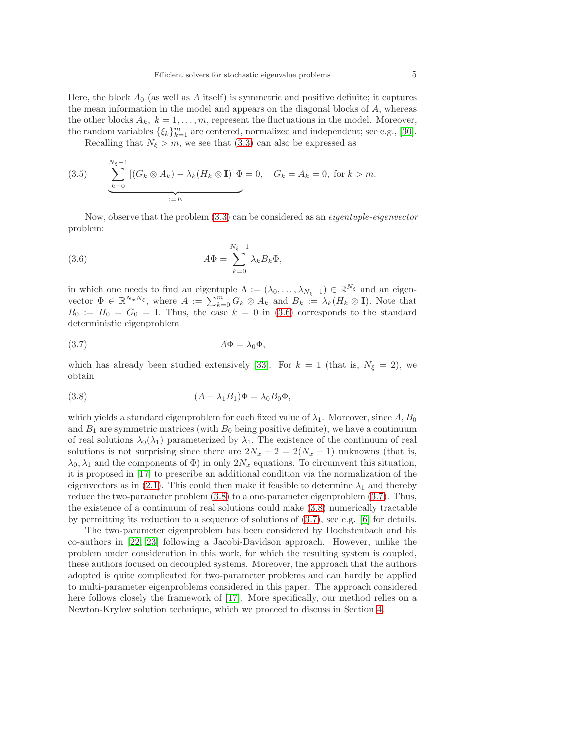Here, the block  $A_0$  (as well as A itself) is symmetric and positive definite; it captures the mean information in the model and appears on the diagonal blocks of  $A$ , whereas the other blocks  $A_k$ ,  $k = 1, \ldots, m$ , represent the fluctuations in the model. Moreover, the random variables  $\{\xi_k\}_{k=1}^m$  are centered, normalized and independent; see e.g., [\[30\]](#page-20-1).

<span id="page-4-3"></span>Recalling that  $N_{\xi} > m$ , we see that [\(3.3\)](#page-3-3) can also be expressed as

(3.5) 
$$
\sum_{k=0}^{N_{\xi}-1} [(G_k \otimes A_k) - \lambda_k (H_k \otimes I)] \Phi = 0, \quad G_k = A_k = 0, \text{ for } k > m.
$$

Now, observe that the problem [\(3.3\)](#page-3-3) can be considered as an eigentuple-eigenvector problem:

<span id="page-4-0"></span>(3.6) 
$$
A\Phi = \sum_{k=0}^{N_{\xi}-1} \lambda_k B_k \Phi,
$$

in which one needs to find an eigentuple  $\Lambda := (\lambda_0, \ldots, \lambda_{N_{\xi}-1}) \in \mathbb{R}^{N_{\xi}}$  and an eigenvector  $\Phi \in \mathbb{R}^{N_x N_{\xi}}$ , where  $A := \sum_{k=0}^{m} G_k \otimes A_k$  and  $B_k := \lambda_k (H_k \otimes \mathbf{I})$ . Note that  $B_0 := H_0 = G_0 = I$ . Thus, the case  $k = 0$  in [\(3.6\)](#page-4-0) corresponds to the standard deterministic eigenproblem

<span id="page-4-2"></span>
$$
(3.7) \t\t A\Phi = \lambda_0 \Phi,
$$

which has already been studied extensively [\[33\]](#page-20-7). For  $k = 1$  (that is,  $N_{\xi} = 2$ ), we obtain

<span id="page-4-1"></span>(3.8) 
$$
(A - \lambda_1 B_1)\Phi = \lambda_0 B_0 \Phi,
$$

which yields a standard eigenproblem for each fixed value of  $\lambda_1$ . Moreover, since A,  $B_0$ and  $B_1$  are symmetric matrices (with  $B_0$  being positive definite), we have a continuum of real solutions  $\lambda_0(\lambda_1)$  parameterized by  $\lambda_1$ . The existence of the continuum of real solutions is not surprising since there are  $2N_x + 2 = 2(N_x + 1)$  unknowns (that is,  $\lambda_0, \lambda_1$  and the components of  $\Phi$ ) in only  $2N_x$  equations. To circumvent this situation, it is proposed in [\[17\]](#page-19-6) to prescribe an additional condition via the normalization of the eigenvectors as in [\(2.1\)](#page-2-1). This could then make it feasible to determine  $\lambda_1$  and thereby reduce the two-parameter problem [\(3.8\)](#page-4-1) to a one-parameter eigenproblem [\(3.7\)](#page-4-2). Thus, the existence of a continuum of real solutions could make [\(3.8\)](#page-4-1) numerically tractable by permitting its reduction to a sequence of solutions of [\(3.7\)](#page-4-2), see e.g. [\[6\]](#page-19-10) for details.

The two-parameter eigenproblem has been considered by Hochstenbach and his co-authors in [\[22,](#page-19-11) [23\]](#page-19-12) following a Jacobi-Davidson approach. However, unlike the problem under consideration in this work, for which the resulting system is coupled, these authors focused on decoupled systems. Moreover, the approach that the authors adopted is quite complicated for two-parameter problems and can hardly be applied to multi-parameter eigenproblems considered in this paper. The approach considered here follows closely the framework of [\[17\]](#page-19-6). More specifically, our method relies on a Newton-Krylov solution technique, which we proceed to discuss in Section [4.](#page-5-0)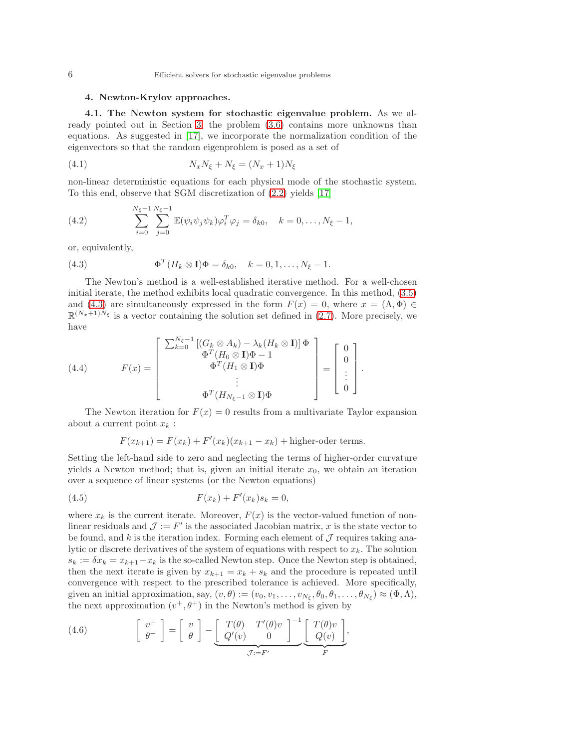### <span id="page-5-0"></span>4. Newton-Krylov approaches.

4.1. The Newton system for stochastic eigenvalue problem. As we already pointed out in Section [3,](#page-3-0) the problem [\(3.6\)](#page-4-0) contains more unknowns than equations. As suggested in [\[17\]](#page-19-6), we incorporate the normalization condition of the eigenvectors so that the random eigenproblem is posed as a set of

<span id="page-5-4"></span>
$$
(4.1) \t\t N_x N_{\xi} + N_{\xi} = (N_x + 1)N_{\xi}
$$

non-linear deterministic equations for each physical mode of the stochastic system. To this end, observe that SGM discretization of [\(2.2\)](#page-2-4) yields [\[17\]](#page-19-6)

(4.2) 
$$
\sum_{i=0}^{N_{\xi}-1} \sum_{j=0}^{N_{\xi}-1} \mathbb{E}(\psi_i \psi_j \psi_k) \varphi_i^T \varphi_j = \delta_{k0}, \quad k = 0, ..., N_{\xi}-1,
$$

or, equivalently,

<span id="page-5-1"></span>(4.3) 
$$
\Phi^T(H_k \otimes \mathbf{I})\Phi = \delta_{k0}, \quad k = 0, 1, \dots, N_{\xi} - 1.
$$

The Newton's method is a well-established iterative method. For a well-chosen initial iterate, the method exhibits local quadratic convergence. In this method, [\(3.5\)](#page-4-3) and [\(4.3\)](#page-5-1) are simultaneously expressed in the form  $F(x) = 0$ , where  $x = (\Lambda, \Phi) \in$  $\mathbb{R}^{(N_x+1)\hat{N}_{\xi}}$  is a vector containing the solution set defined in [\(2.7\)](#page-3-4). More precisely, we have

(4.4) 
$$
F(x) = \begin{bmatrix} \sum_{k=0}^{N_{\xi}-1} \left[ (G_k \otimes A_k) - \lambda_k (H_k \otimes \mathbf{I}) \right] \Phi \\ \Phi^T (H_0 \otimes \mathbf{I}) \Phi - 1 \\ \Phi^T (H_1 \otimes \mathbf{I}) \Phi \\ \vdots \\ \Phi^T (H_{N_{\xi}-1} \otimes \mathbf{I}) \Phi \end{bmatrix} = \begin{bmatrix} 0 \\ 0 \\ \vdots \\ 0 \end{bmatrix}.
$$

The Newton iteration for  $F(x) = 0$  results from a multivariate Taylor expansion about a current point  $x_k$ :

<span id="page-5-2"></span>
$$
F(x_{k+1}) = F(x_k) + F'(x_k)(x_{k+1} - x_k) +
$$
higher-oder terms.

Setting the left-hand side to zero and neglecting the terms of higher-order curvature yields a Newton method; that is, given an initial iterate  $x_0$ , we obtain an iteration over a sequence of linear systems (or the Newton equations)

(4.5) 
$$
F(x_k) + F'(x_k)s_k = 0,
$$

where  $x_k$  is the current iterate. Moreover,  $F(x)$  is the vector-valued function of nonlinear residuals and  $\mathcal{J} := F'$  is the associated Jacobian matrix, x is the state vector to be found, and k is the iteration index. Forming each element of  $\mathcal J$  requires taking analytic or discrete derivatives of the system of equations with respect to  $x_k$ . The solution  $s_k := \delta x_k = x_{k+1} - x_k$  is the so-called Newton step. Once the Newton step is obtained, then the next iterate is given by  $x_{k+1} = x_k + s_k$  and the procedure is repeated until convergence with respect to the prescribed tolerance is achieved. More specifically, given an initial approximation, say,  $(v, \theta) := (v_0, v_1, \dots, v_{N_{\xi}}, \theta_0, \theta_1, \dots, \theta_{N_{\xi}}) \approx (\Phi, \Lambda),$ the next approximation  $(v^+,\theta^+)$  in the Newton's method is given by

<span id="page-5-3"></span>(4.6) 
$$
\begin{bmatrix} v^+ \\ \theta^+ \end{bmatrix} = \begin{bmatrix} v \\ \theta \end{bmatrix} - \underbrace{\begin{bmatrix} T(\theta) & T'(\theta)v \\ Q'(v) & 0 \end{bmatrix}^{-1}}_{\mathcal{J}:=F'} \underbrace{\begin{bmatrix} T(\theta)v \\ Q(v) \end{bmatrix}}_{F},
$$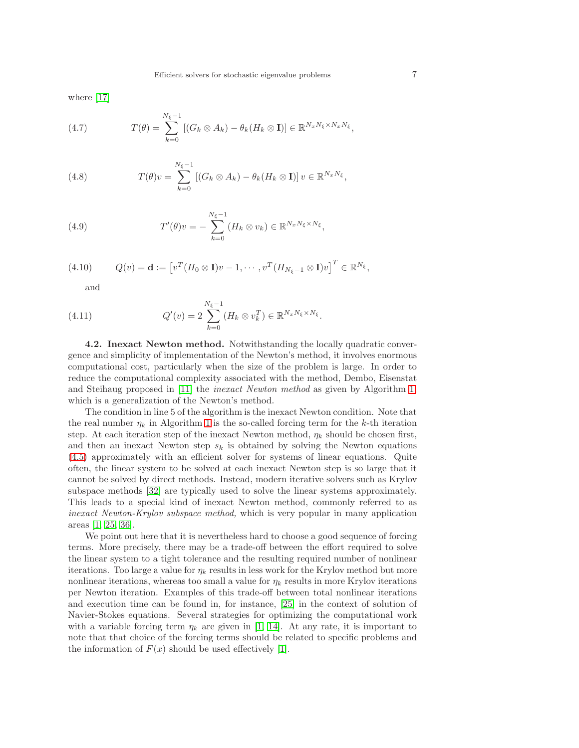where [\[17\]](#page-19-6)

<span id="page-6-1"></span>(4.7) 
$$
T(\theta) = \sum_{k=0}^{N_{\xi}-1} [(G_k \otimes A_k) - \theta_k (H_k \otimes \mathbf{I})] \in \mathbb{R}^{N_x N_{\xi} \times N_x N_{\xi}},
$$

(4.8) 
$$
T(\theta)v = \sum_{k=0}^{N_{\xi}-1} [(G_k \otimes A_k) - \theta_k (H_k \otimes \mathbf{I})] v \in \mathbb{R}^{N_x N_{\xi}},
$$

<span id="page-6-2"></span>(4.9) 
$$
T'(\theta)v = -\sum_{k=0}^{N_{\xi}-1} (H_k \otimes v_k) \in \mathbb{R}^{N_x N_{\xi} \times N_{\xi}},
$$

(4.10) 
$$
Q(v) = \mathbf{d} := \left[ v^T (H_0 \otimes \mathbf{I}) v - 1, \cdots, v^T (H_{N_{\xi}-1} \otimes \mathbf{I}) v \right]^T \in \mathbb{R}^{N_{\xi}},
$$

<span id="page-6-3"></span><span id="page-6-0"></span>and

(4.11) 
$$
Q'(v) = 2 \sum_{k=0}^{N_{\xi}-1} (H_k \otimes v_k^T) \in \mathbb{R}^{N_x N_{\xi} \times N_{\xi}}.
$$

<span id="page-6-4"></span>4.2. Inexact Newton method. Notwithstanding the locally quadratic convergence and simplicity of implementation of the Newton's method, it involves enormous computational cost, particularly when the size of the problem is large. In order to reduce the computational complexity associated with the method, Dembo, Eisenstat and Steihaug proposed in [\[11\]](#page-19-13) the inexact Newton method as given by Algorithm [1,](#page-7-0) which is a generalization of the Newton's method.

The condition in line 5 of the algorithm is the inexact Newton condition. Note that the real number  $\eta_k$  in Algorithm [1](#page-7-0) is the so-called forcing term for the k-th iteration step. At each iteration step of the inexact Newton method,  $\eta_k$  should be chosen first, and then an inexact Newton step  $s_k$  is obtained by solving the Newton equations [\(4.5\)](#page-5-2) approximately with an efficient solver for systems of linear equations. Quite often, the linear system to be solved at each inexact Newton step is so large that it cannot be solved by direct methods. Instead, modern iterative solvers such as Krylov subspace methods [\[32\]](#page-20-8) are typically used to solve the linear systems approximately. This leads to a special kind of inexact Newton method, commonly referred to as inexact Newton-Krylov subspace method, which is very popular in many application areas [\[1,](#page-18-1) [25,](#page-19-14) [36\]](#page-20-5).

We point out here that it is nevertheless hard to choose a good sequence of forcing terms. More precisely, there may be a trade-off between the effort required to solve the linear system to a tight tolerance and the resulting required number of nonlinear iterations. Too large a value for  $\eta_k$  results in less work for the Krylov method but more nonlinear iterations, whereas too small a value for  $\eta_k$  results in more Krylov iterations per Newton iteration. Examples of this trade-off between total nonlinear iterations and execution time can be found in, for instance, [\[25\]](#page-19-14) in the context of solution of Navier-Stokes equations. Several strategies for optimizing the computational work with a variable forcing term  $\eta_k$  are given in [\[1,](#page-18-1) [14\]](#page-19-8). At any rate, it is important to note that that choice of the forcing terms should be related to specific problems and the information of  $F(x)$  should be used effectively [\[1\]](#page-18-1).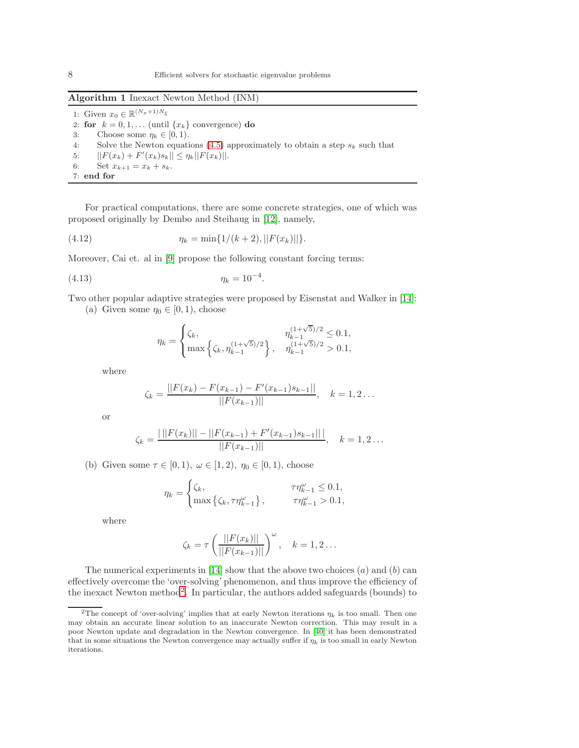## Algorithm 1 Inexact Newton Method (INM)

1: Given  $x_0 \in \mathbb{R}^{(N_x+1)N_{\xi}}$ 2: for  $k = 0, 1, \ldots$  (until  $\{x_k\}$  convergence) do 3: Choose some  $\eta_k \in [0, 1)$ . 4: Solve the Newton equations  $(4.5)$  approximately to obtain a step  $s_k$  such that 5:  $||F(x_k) + F'(x_k)s_k|| \leq \eta_k ||F(x_k)||.$ 6: Set  $x_{k+1} = x_k + s_k$ . 7: end for

For practical computations, there are some concrete strategies, one of which was proposed originally by Dembo and Steihaug in [\[12\]](#page-19-15), namely,

(4.12) 
$$
\eta_k = \min\{1/(k+2), ||F(x_k)||\}.
$$

Moreover, Cai et. al in [\[9\]](#page-19-16) propose the following constant forcing terms:

(4.13) 
$$
\eta_k = 10^{-4}.
$$

Two other popular adaptive strategies were proposed by Eisenstat and Walker in [\[14\]](#page-19-8):

(a) Given some  $\eta_0 \in [0, 1)$ , choose

<span id="page-7-3"></span><span id="page-7-2"></span>
$$
\eta_k = \begin{cases} \zeta_k, & \eta_{k-1}^{(1+\sqrt{5})/2} \leq 0.1, \\ \max \left\{ \zeta_k, \eta_{k-1}^{(1+\sqrt{5})/2} \right\}, & \eta_{k-1}^{(1+\sqrt{5})/2} > 0.1, \end{cases}
$$

where

$$
\zeta_k = \frac{||F(x_k) - F(x_{k-1}) - F'(x_{k-1})s_{k-1}||}{||F(x_{k-1})||}, \quad k = 1, 2 \dots
$$

or

$$
\zeta_k = \frac{|\||F(x_k)|| - ||F(x_{k-1}) + F'(x_{k-1})s_{k-1}||}{||F(x_{k-1})||}, \quad k = 1, 2 \dots
$$

(b) Given some  $\tau \in [0, 1)$ ,  $\omega \in [1, 2)$ ,  $\eta_0 \in [0, 1)$ , choose

$$
\eta_k = \begin{cases} \zeta_k, & \tau \eta_{k-1}^\omega \leq 0.1, \\ \max \left\{ \zeta_k, \tau \eta_{k-1}^\omega \right\}, & \tau \eta_{k-1}^\omega > 0.1, \end{cases}
$$

where

$$
\zeta_k = \tau \left( \frac{||F(x_k)||}{||F(x_{k-1})||} \right)^{\omega}, \quad k = 1, 2 \dots
$$

The numerical experiments in [\[14\]](#page-19-8) show that the above two choices  $(a)$  and  $(b)$  can effectively overcome the 'over-solving' phenomenon, and thus improve the efficiency of the inexact Newton method<sup>[2](#page-7-1)</sup>. In particular, the authors added safeguards (bounds) to

<span id="page-7-0"></span>

<span id="page-7-1"></span><sup>&</sup>lt;sup>2</sup>The concept of 'over-solving' implies that at early Newton iterations  $\eta_k$  is too small. Then one may obtain an accurate linear solution to an inaccurate Newton correction. This may result in a poor Newton update and degradation in the Newton convergence. In [\[40\]](#page-20-9) it has been demonstrated that in some situations the Newton convergence may actually suffer if  $\eta_k$  is too small in early Newton iterations.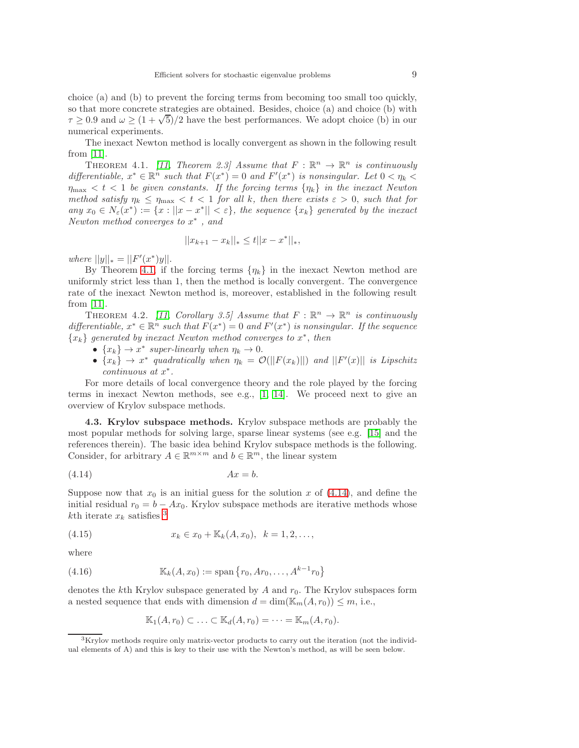choice (a) and (b) to prevent the forcing terms from becoming too small too quickly, so that more concrete strategies are obtained. Besides, choice (a) and choice (b) with  $\tau \geq 0.9$  and  $\omega \geq (1 + \sqrt{5})/2$  have the best performances. We adopt choice (b) in our numerical experiments.

<span id="page-8-0"></span>The inexact Newton method is locally convergent as shown in the following result from [\[11\]](#page-19-13).

THEOREM 4.1. [\[11,](#page-19-13) Theorem 2.3] Assume that  $F : \mathbb{R}^n \to \mathbb{R}^n$  is continuously differentiable,  $x^* \in \mathbb{R}^n$  such that  $F(x^*) = 0$  and  $F'(x^*)$  is nonsingular. Let  $0 < \eta_k <$  $\eta_{\text{max}} < t < 1$  be given constants. If the forcing terms  $\{\eta_k\}$  in the inexact Newton method satisfy  $\eta_k \leq \eta_{\text{max}} < t < 1$  for all k, then there exists  $\varepsilon > 0$ , such that for any  $x_0 \in N_{\varepsilon}(x^*) := \{x : ||x - x^*|| < \varepsilon\}$ , the sequence  $\{x_k\}$  generated by the inexact Newton method converges to x ∗ , and

$$
||x_{k+1} - x_k||_* \le t ||x - x^*||_*,
$$

where  $||y||_* = ||F'(x^*)y||.$ 

By Theorem [4.1,](#page-8-0) if the forcing terms  $\{\eta_k\}$  in the inexact Newton method are uniformly strict less than 1, then the method is locally convergent. The convergence rate of the inexact Newton method is, moreover, established in the following result from [\[11\]](#page-19-13).

THEOREM 4.2. [\[11,](#page-19-13) Corollary 3.5] Assume that  $F : \mathbb{R}^n \to \mathbb{R}^n$  is continuously differentiable,  $x^* \in \mathbb{R}^n$  such that  $F(x^*) = 0$  and  $F'(x^*)$  is nonsingular. If the sequence  ${x_k}$  generated by inexact Newton method converges to  $x^*$ , then

- $\{x_k\} \to x^*$  super-linearly when  $\eta_k \to 0$ .
- $\{x_k\} \to x^*$  quadratically when  $\eta_k = \mathcal{O}(|F(x_k)||)$  and  $||F'(x)||$  is Lipschitz continuous at  $x^*$ .

For more details of local convergence theory and the role played by the forcing terms in inexact Newton methods, see e.g., [\[1,](#page-18-1) [14\]](#page-19-8). We proceed next to give an overview of Krylov subspace methods.

4.3. Krylov subspace methods. Krylov subspace methods are probably the most popular methods for solving large, sparse linear systems (see e.g. [\[15\]](#page-19-17) and the references therein). The basic idea behind Krylov subspace methods is the following. Consider, for arbitrary  $A \in \mathbb{R}^{m \times m}$  and  $b \in \mathbb{R}^m$ , the linear system

<span id="page-8-1"></span>
$$
(4.14) \t\t Ax = b.
$$

Suppose now that  $x_0$  is an initial guess for the solution x of [\(4.14\)](#page-8-1), and define the initial residual  $r_0 = b - Ax_0$ . Krylov subspace methods are iterative methods whose kth iterate  $x_k$  satisfies <sup>[3](#page-8-2)</sup>

(4.15) 
$$
x_k \in x_0 + \mathbb{K}_k(A, x_0), \ \ k = 1, 2, \ldots,
$$

where

(4.16) 
$$
\mathbb{K}_k(A, x_0) := \text{span}\{r_0, Ar_0, \dots, A^{k-1}r_0\}
$$

denotes the kth Krylov subspace generated by A and  $r_0$ . The Krylov subspaces form a nested sequence that ends with dimension  $d = \dim(\mathbb{K}_{m}(A, r_0)) \leq m$ , i.e.,

<span id="page-8-3"></span>
$$
\mathbb{K}_1(A,r_0) \subset \ldots \subset \mathbb{K}_d(A,r_0) = \cdots = \mathbb{K}_m(A,r_0).
$$

<span id="page-8-2"></span><sup>3</sup>Krylov methods require only matrix-vector products to carry out the iteration (not the individual elements of A) and this is key to their use with the Newton's method, as will be seen below.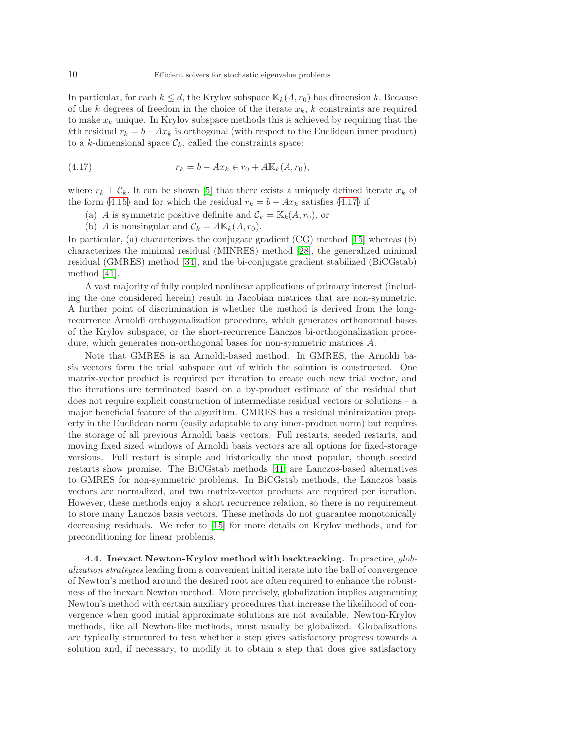In particular, for each  $k \leq d$ , the Krylov subspace  $\mathbb{K}_k(A, r_0)$  has dimension k. Because of the k degrees of freedom in the choice of the iterate  $x_k$ , k constraints are required to make  $x_k$  unique. In Krylov subspace methods this is achieved by requiring that the kth residual  $r_k = b - Ax_k$  is orthogonal (with respect to the Euclidean inner product) to a k-dimensional space  $\mathcal{C}_k$ , called the constraints space:

(4.17) 
$$
r_k = b - Ax_k \in r_0 + A\mathbb{K}_k(A, r_0),
$$

where  $r_k \perp \mathcal{C}_k$ . It can be shown [\[5\]](#page-19-18) that there exists a uniquely defined iterate  $x_k$  of the form [\(4.15\)](#page-8-3) and for which the residual  $r_k = b - Ax_k$  satisfies [\(4.17\)](#page-9-0) if

- <span id="page-9-0"></span>(a) A is symmetric positive definite and  $\mathcal{C}_k = \mathbb{K}_k(A, r_0)$ , or
- (b) A is nonsingular and  $\mathcal{C}_k = A \mathbb{K}_k(A, r_0)$ .

In particular, (a) characterizes the conjugate gradient (CG) method [\[15\]](#page-19-17) whereas (b) characterizes the minimal residual (MINRES) method [\[28\]](#page-19-19), the generalized minimal residual (GMRES) method [\[34\]](#page-20-10), and the bi-conjugate gradient stabilized (BiCGstab) method [\[41\]](#page-20-11).

A vast majority of fully coupled nonlinear applications of primary interest (including the one considered herein) result in Jacobian matrices that are non-symmetric. A further point of discrimination is whether the method is derived from the longrecurrence Arnoldi orthogonalization procedure, which generates orthonormal bases of the Krylov subspace, or the short-recurrence Lanczos bi-orthogonalization procedure, which generates non-orthogonal bases for non-symmetric matrices A.

Note that GMRES is an Arnoldi-based method. In GMRES, the Arnoldi basis vectors form the trial subspace out of which the solution is constructed. One matrix-vector product is required per iteration to create each new trial vector, and the iterations are terminated based on a by-product estimate of the residual that does not require explicit construction of intermediate residual vectors or solutions – a major beneficial feature of the algorithm. GMRES has a residual minimization property in the Euclidean norm (easily adaptable to any inner-product norm) but requires the storage of all previous Arnoldi basis vectors. Full restarts, seeded restarts, and moving fixed sized windows of Arnoldi basis vectors are all options for fixed-storage versions. Full restart is simple and historically the most popular, though seeded restarts show promise. The BiCGstab methods [\[41\]](#page-20-11) are Lanczos-based alternatives to GMRES for non-symmetric problems. In BiCGstab methods, the Lanczos basis vectors are normalized, and two matrix-vector products are required per iteration. However, these methods enjoy a short recurrence relation, so there is no requirement to store many Lanczos basis vectors. These methods do not guarantee monotonically decreasing residuals. We refer to [\[15\]](#page-19-17) for more details on Krylov methods, and for preconditioning for linear problems.

4.4. Inexact Newton-Krylov method with backtracking. In practice, globalization strategies leading from a convenient initial iterate into the ball of convergence of Newton's method around the desired root are often required to enhance the robustness of the inexact Newton method. More precisely, globalization implies augmenting Newton's method with certain auxiliary procedures that increase the likelihood of convergence when good initial approximate solutions are not available. Newton-Krylov methods, like all Newton-like methods, must usually be globalized. Globalizations are typically structured to test whether a step gives satisfactory progress towards a solution and, if necessary, to modify it to obtain a step that does give satisfactory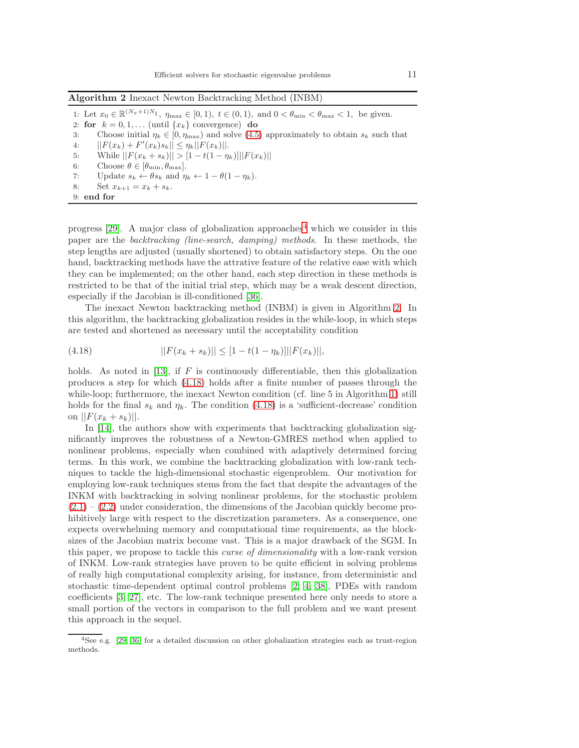<span id="page-10-1"></span>Algorithm 2 Inexact Newton Backtracking Method (INBM)

1: Let  $x_0 \in \mathbb{R}^{(N_x+1)N_{\xi}}, \eta_{\max} \in [0,1), t \in (0,1), \text{ and } 0 < \theta_{\min} < \theta_{\max} < 1, \text{ be given.}$ 2: for  $k = 0, 1, \ldots$  (until  $\{x_k\}$  convergence) do 3: Choose initial  $\eta_k \in [0, \eta_{\text{max}})$  and solve [\(4.5\)](#page-5-2) approximately to obtain  $s_k$  such that 4:  $||F(x_k) + F'(x_k)s_k|| \leq \eta_k ||F(x_k)||.$ 5: While  $||F(x_k + s_k)|| > [1 - t(1 - \eta_k)]||F(x_k)||$ 6: Choose  $\theta \in [\theta_{\min}, \theta_{\max}].$ 7: Update  $s_k \leftarrow \theta s_k$  and  $\eta_k \leftarrow 1 - \theta(1 - \eta_k)$ . 8: Set  $x_{k+1} = x_k + s_k$ . 9: end for

progress [\[29\]](#page-19-20). A major class of globalization approaches<sup>[4](#page-10-0)</sup> which we consider in this paper are the backtracking (line-search, damping) methods. In these methods, the step lengths are adjusted (usually shortened) to obtain satisfactory steps. On the one hand, backtracking methods have the attrative feature of the relative ease with which they can be implemented; on the other hand, each step direction in these methods is restricted to be that of the initial trial step, which may be a weak descent direction, especially if the Jacobian is ill-conditioned [\[36\]](#page-20-5).

The inexact Newton backtracking method (INBM) is given in Algorithm [2.](#page-10-1) In this algorithm, the backtracking globalization resides in the while-loop, in which steps are tested and shortened as necessary until the acceptability condition

<span id="page-10-2"></span>(4.18) 
$$
||F(x_k + s_k)|| \leq [1 - t(1 - \eta_k)]||F(x_k)||,
$$

holds. As noted in [\[13\]](#page-19-21), if  $F$  is continuously differentiable, then this globalization produces a step for which [\(4.18\)](#page-10-2) holds after a finite number of passes through the while-loop; furthermore, the inexact Newton condition (cf. line 5 in Algorithm [1\)](#page-7-0) still holds for the final  $s_k$  and  $\eta_k$ . The condition [\(4.18\)](#page-10-2) is a 'sufficient-decrease' condition on  $||F(x_k + s_k)||$ .

In [\[14\]](#page-19-8), the authors show with experiments that backtracking globalization significantly improves the robustness of a Newton-GMRES method when applied to nonlinear problems, especially when combined with adaptively determined forcing terms. In this work, we combine the backtracking globalization with low-rank techniques to tackle the high-dimensional stochastic eigenproblem. Our motivation for employing low-rank techniques stems from the fact that despite the advantages of the INKM with backtracking in solving nonlinear problems, for the stochastic problem  $(2.1) - (2.2)$  $(2.1) - (2.2)$  $(2.1) - (2.2)$  under consideration, the dimensions of the Jacobian quickly become prohibitively large with respect to the discretization parameters. As a consequence, one expects overwhelming memory and computational time requirements, as the blocksizes of the Jacobian matrix become vast. This is a major drawback of the SGM. In this paper, we propose to tackle this curse of dimensionality with a low-rank version of INKM. Low-rank strategies have proven to be quite efficient in solving problems of really high computational complexity arising, for instance, from deterministic and stochastic time-dependent optimal control problems [\[2,](#page-18-3) [4,](#page-19-5) [38\]](#page-20-12), PDEs with random coefficients [\[3,](#page-18-0) [27\]](#page-19-9), etc. The low-rank technique presented here only needs to store a small portion of the vectors in comparison to the full problem and we want present this approach in the sequel.

<span id="page-10-0"></span><sup>4</sup>See e.g. [\[29,](#page-19-20) [36\]](#page-20-5) for a detailed discussion on other globalization strategies such as trust-region methods.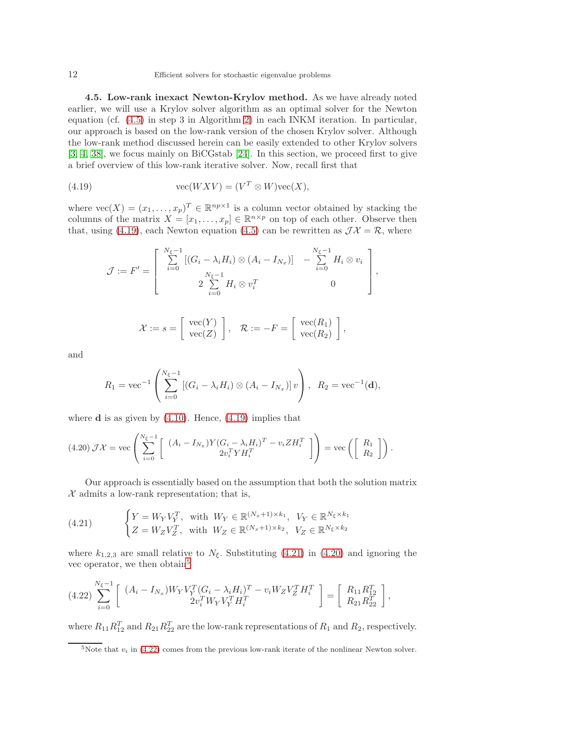4.5. Low-rank inexact Newton-Krylov method. As we have already noted earlier, we will use a Krylov solver algorithm as an optimal solver for the Newton equation (cf. [\(4.5\)](#page-5-2) in step 3 in Algorithm [2\)](#page-10-1) in each INKM iteration. In particular, our approach is based on the low-rank version of the chosen Krylov solver. Although the low-rank method discussed herein can be easily extended to other Krylov solvers [\[3,](#page-18-0) [4,](#page-19-5) [38\]](#page-20-12), we focus mainly on BiCGstab [\[24\]](#page-19-22). In this section, we proceed first to give a brief overview of this low-rank iterative solver. Now, recall first that

(4.19) 
$$
\text{vec}(WXV) = (V^T \otimes W)\text{vec}(X),
$$

where  $\text{vec}(X) = (x_1, \ldots, x_p)^T \in \mathbb{R}^{np \times 1}$  is a column vector obtained by stacking the columns of the matrix  $X = [x_1, \ldots, x_p] \in \mathbb{R}^{n \times p}$  on top of each other. Observe then that, using [\(4.19\)](#page-11-0), each Newton equation [\(4.5\)](#page-5-2) can be rewritten as  $J\mathcal{X} = \mathcal{R}$ , where

<span id="page-11-0"></span>
$$
\mathcal{J} := F' = \begin{bmatrix} \sum_{i=0}^{N_{\xi}-1} \left[ (G_i - \lambda_i H_i) \otimes (A_i - I_{N_x}) \right] & -\sum_{i=0}^{N_{\xi}-1} H_i \otimes v_i \\ 2 \sum_{i=0}^{N_{\xi}-1} H_i \otimes v_i^T & 0 \end{bmatrix},
$$

$$
\mathcal{X} := s = \left[ \begin{array}{c} \text{vec}(Y) \\ \text{vec}(Z) \end{array} \right], \quad \mathcal{R} := -F = \left[ \begin{array}{c} \text{vec}(R_1) \\ \text{vec}(R_2) \end{array} \right],
$$

and

$$
R_1 = \text{vec}^{-1}\left(\sum_{i=0}^{N_{\xi}-1} [(G_i - \lambda_i H_i) \otimes (A_i - I_{N_x})] \, v\right), \ \ R_2 = \text{vec}^{-1}(\mathbf{d}),
$$

where  $\bf{d}$  is as given by [\(4.10\)](#page-6-0). Hence, [\(4.19\)](#page-11-0) implies that

<span id="page-11-2"></span>
$$
(4.20)\,\mathcal{J}\mathcal{X} = \text{vec}\left(\sum_{i=0}^{N_{\xi}-1} \left[\begin{array}{c} (A_i - I_{N_x})Y(G_i - \lambda_i H_i)^T - v_i Z H_i^T\\ 2v_i^T Y H_i^T \end{array}\right]\right) = \text{vec}\left(\left[\begin{array}{c} R_1\\ R_2 \end{array}\right]\right).
$$

Our approach is essentially based on the assumption that both the solution matrix  $X$  admits a low-rank representation; that is,

<span id="page-11-1"></span>(4.21) 
$$
\begin{cases} Y = W_Y V_Y^T, & \text{with } W_Y \in \mathbb{R}^{(N_x+1)\times k_1}, V_Y \in \mathbb{R}^{N_{\xi} \times k_1} \\ Z = W_Z V_Z^T, & \text{with } W_Z \in \mathbb{R}^{(N_x+1)\times k_2}, V_Z \in \mathbb{R}^{N_{\xi} \times k_2} \end{cases}
$$

where  $k_{1,2,3}$  are small relative to  $N_{\xi}$ . Substituting [\(4.21\)](#page-11-1) in [\(4.20\)](#page-11-2) and ignoring the vec operator, we then obtain<sup>[5](#page-11-3)</sup>

<span id="page-11-4"></span>
$$
(4.22)\sum_{i=0}^{N_{\xi}-1} \left[ \begin{array}{c} (A_i - I_{N_x}) W_Y V_Y^T (G_i - \lambda_i H_i)^T - v_i W_Z V_Z^T H_i^T \\ 2v_i^T W_Y V_Y^T H_i^T \end{array} \right] = \left[ \begin{array}{c} R_{11} R_{12}^T \\ R_{21} R_{22}^T \end{array} \right],
$$

where  $R_{11}R_{12}^T$  and  $R_{21}R_{22}^T$  are the low-rank representations of  $R_1$  and  $R_2$ , respectively.

<span id="page-11-3"></span><sup>&</sup>lt;sup>5</sup>Note that  $v_i$  in [\(4.22\)](#page-11-4) comes from the previous low-rank iterate of the nonlinear Newton solver.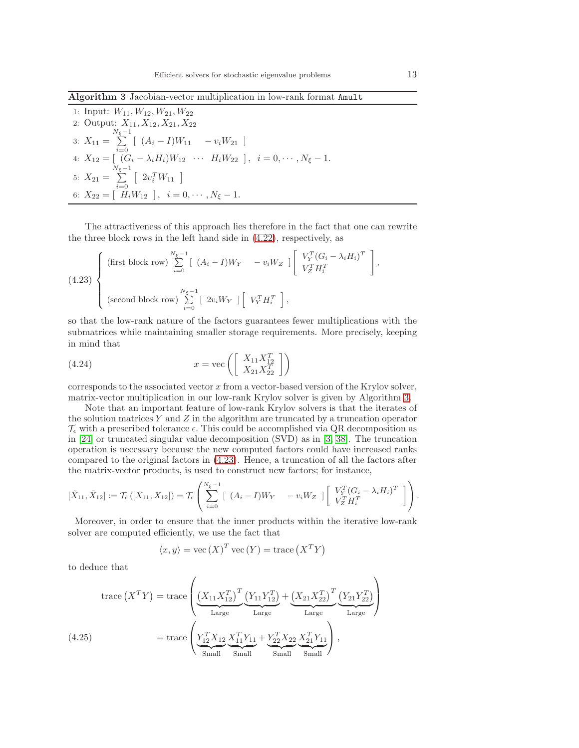<span id="page-12-0"></span>Algorithm 3 Jacobian-vector multiplication in low-rank format Amult

1: Input:  $W_{11}, W_{12}, W_{21}, W_{22}$ 2: Output:  $X_{11}, X_{12}, X_{21}, X_{22}$ 3:  $X_{11} =$  $\sum_{\ell=1}^{N_{\xi}-1}$  $\sum_{i=0}$  [  $(A_i - I)W_{11}$  –  $v_iW_{21}$  ] 4:  $X_{12} = [ (G_i - \lambda_i H_i) W_{12} \cdots H_i W_{22} ], i = 0, \cdots, N_{\xi} - 1.$ 5:  $X_{21} =$  $\sum_{\ell=1}^{N_{\xi}-1}$  $i=0$  $\left[ \begin{array}{c} 2v_i^TW_{11} \end{array} \right]$ 6:  $X_{22} = \begin{bmatrix} 1 & 1 \ H_i W_{12} \end{bmatrix}$ ,  $i = 0, \cdots, N_{\xi} - 1$ .

The attractiveness of this approach lies therefore in the fact that one can rewrite the three block rows in the left hand side in [\(4.22\)](#page-11-4), respectively, as

<span id="page-12-1"></span>
$$
(4.23) \begin{cases} \text{(first block row)} \sum_{i=0}^{N_{\xi}-1} \left[ (A_i - I)W_Y - v_i W_Z \right] \left[ \begin{array}{c} V_Y^T (G_i - \lambda_i H_i)^T \\ V_Z^T H_i^T \end{array} \right], \\ \text{(second block row)} \sum_{i=0}^{N_{\xi}-1} \left[ 2v_i W_Y \right] \left[ \begin{array}{c} V_Y^T H_i^T \end{array} \right], \end{cases}
$$

so that the low-rank nature of the factors guarantees fewer multiplications with the submatrices while maintaining smaller storage requirements. More precisely, keeping in mind that

<span id="page-12-2"></span>(4.24) 
$$
x = \text{vec}\left(\begin{bmatrix} X_{11}X_{12}^T \\ X_{21}X_{22}^T \end{bmatrix}\right)
$$

corresponds to the associated vector  $x$  from a vector-based version of the Krylov solver, matrix-vector multiplication in our low-rank Krylov solver is given by Algorithm [3.](#page-12-0)

Note that an important feature of low-rank Krylov solvers is that the iterates of the solution matrices Y and Z in the algorithm are truncated by a truncation operator  $\mathcal{T}_{\epsilon}$  with a prescribed tolerance  $\epsilon$ . This could be accomplished via QR decomposition as in [\[24\]](#page-19-22) or truncated singular value decomposition (SVD) as in [\[3,](#page-18-0) [38\]](#page-20-12). The truncation operation is necessary because the new computed factors could have increased ranks compared to the original factors in [\(4.23\)](#page-12-1). Hence, a truncation of all the factors after the matrix-vector products, is used to construct new factors; for instance,

$$
[\tilde{X}_{11}, \tilde{X}_{12}] := \mathcal{T}_{\epsilon}\left([X_{11}, X_{12}]\right) = \mathcal{T}_{\epsilon}\left(\sum_{i=0}^{N_{\xi}-1} \left[(A_i - I)W_Y - v_iW_Z\right] \left[\begin{array}{c} V_Y^T(G_i - \lambda_i H_i)^T \\ V_Z^T H_i^T \end{array}\right]\right).
$$

Moreover, in order to ensure that the inner products within the iterative low-rank solver are computed efficiently, we use the fact that

$$
\langle x, y \rangle = \text{vec}(X)^T \text{vec}(Y) = \text{trace}(X^T Y)
$$

to deduce that

$$
trace(X^{T}Y) = trace \left( \underbrace{(X_{11}X_{12}^{T})^{T}}_{Large} \underbrace{(Y_{11}Y_{12}^{T})}_{Large} + \underbrace{(X_{21}X_{22}^{T})^{T}}_{Large} \underbrace{(Y_{21}Y_{22}^{T})}_{Large} \right)
$$
\n
$$
= trace \left( \underbrace{Y_{12}^{T}X_{12}X_{12}X_{11}^{T}Y_{11}}_{Small} + \underbrace{Y_{22}^{T}X_{22}X_{21}^{T}Y_{11}}_{Small} \right),
$$
\n(4.25)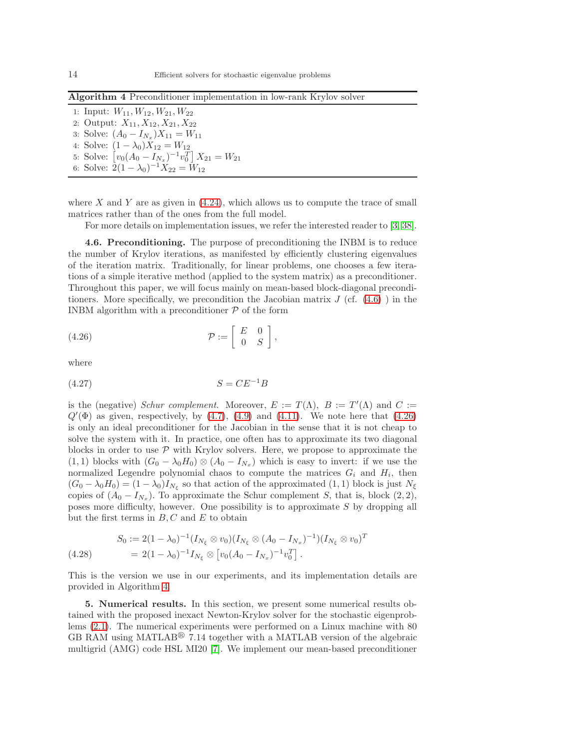<span id="page-13-2"></span>Algorithm 4 Preconditioner implementation in low-rank Krylov solver

1: Input:  $W_{11}, W_{12}, W_{21}, W_{22}$ 2: Output:  $X_{11}, X_{12}, X_{21}, X_{22}$ 3: Solve:  $(A_0 - I_{N_x})X_{11} = W_{11}$ 4: Solve:  $(1 - \lambda_0)X_{12} = W_{12}$ 5: Solve:  $[v_0(A_0 - I_{N_x})^{-1}v_0^T]X_{21} = W_{21}$ 

6: Solve:  $2(1 - \lambda_0)^{-1} X_{22} = W_{12}$ 

where  $X$  and  $Y$  are as given in  $(4.24)$ , which allows us to compute the trace of small matrices rather than of the ones from the full model.

For more details on implementation issues, we refer the interested reader to [\[3,](#page-18-0) [38\]](#page-20-12).

4.6. Preconditioning. The purpose of preconditioning the INBM is to reduce the number of Krylov iterations, as manifested by efficiently clustering eigenvalues of the iteration matrix. Traditionally, for linear problems, one chooses a few iterations of a simple iterative method (applied to the system matrix) as a preconditioner. Throughout this paper, we will focus mainly on mean-based block-diagonal preconditioners. More specifically, we precondition the Jacobian matrix  $J$  (cf.  $(4.6)$ ) in the INBM algorithm with a preconditioner  $P$  of the form

<span id="page-13-1"></span>
$$
(4.26) \t\t \mathcal{P} := \left[ \begin{array}{cc} E & 0 \\ 0 & S \end{array} \right],
$$

where

$$
(4.27)\t\t S = CE^{-1}B
$$

is the (negative) Schur complement. Moreover,  $E := T(\Lambda)$ ,  $B := T'(\Lambda)$  and  $C :=$  $Q'(\Phi)$  as given, respectively, by  $(4.7)$ ,  $(4.9)$  and  $(4.11)$ . We note here that  $(4.26)$ is only an ideal preconditioner for the Jacobian in the sense that it is not cheap to solve the system with it. In practice, one often has to approximate its two diagonal blocks in order to use  $P$  with Krylov solvers. Here, we propose to approximate the (1, 1) blocks with  $(G_0 - \lambda_0 H_0) \otimes (A_0 - I_{N_x})$  which is easy to invert: if we use the normalized Legendre polynomial chaos to compute the matrices  $G_i$  and  $H_i$ , then  $(G_0 - \lambda_0 H_0) = (1 - \lambda_0) I_{N_{\xi}}$  so that action of the approximated  $(1, 1)$  block is just  $N_{\xi}$ copies of  $(A_0 - I_{N_x})$ . To approximate the Schur complement S, that is, block  $(2, 2)$ , poses more difficulty, however. One possibility is to approximate S by dropping all but the first terms in  $B, C$  and  $E$  to obtain

$$
S_0 := 2(1 - \lambda_0)^{-1} (I_{N_\xi} \otimes v_0) (I_{N_\xi} \otimes (A_0 - I_{N_x})^{-1}) (I_{N_\xi} \otimes v_0)^T
$$
  
(4.28) 
$$
= 2(1 - \lambda_0)^{-1} I_{N_\xi} \otimes [v_0 (A_0 - I_{N_x})^{-1} v_0^T].
$$

This is the version we use in our experiments, and its implementation details are provided in Algorithm [4.](#page-13-2)

<span id="page-13-0"></span>5. Numerical results. In this section, we present some numerical results obtained with the proposed inexact Newton-Krylov solver for the stochastic eigenproblems [\(2.1\)](#page-2-1). The numerical experiments were performed on a Linux machine with 80 GB RAM using MATLAB<sup>®</sup> 7.14 together with a MATLAB version of the algebraic multigrid (AMG) code HSL MI20 [\[7\]](#page-19-23). We implement our mean-based preconditioner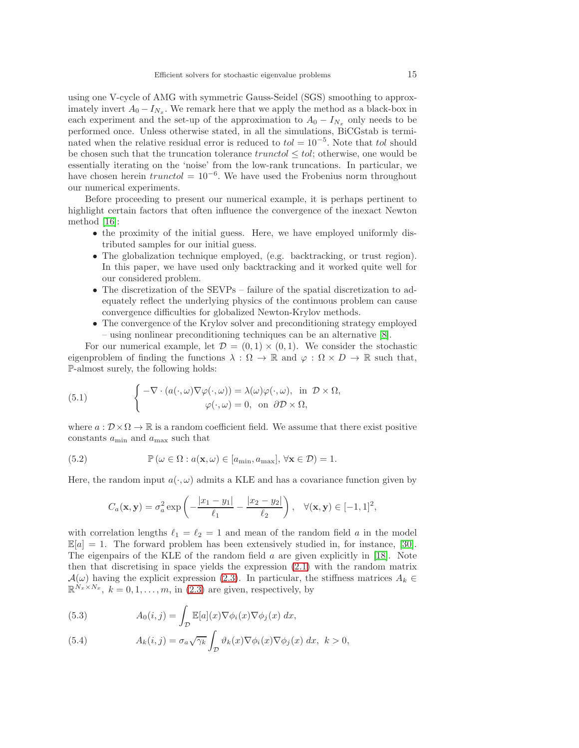using one V-cycle of AMG with symmetric Gauss-Seidel (SGS) smoothing to approximately invert  $A_0 - I_{N_x}$ . We remark here that we apply the method as a black-box in each experiment and the set-up of the approximation to  $A_0 - I_{N_x}$  only needs to be performed once. Unless otherwise stated, in all the simulations, BiCGstab is terminated when the relative residual error is reduced to  $tol = 10^{-5}$ . Note that tol should be chosen such that the truncation tolerance  $trunctol \leq tol$ ; otherwise, one would be essentially iterating on the 'noise' from the low-rank truncations. In particular, we have chosen herein  $truncto l = 10^{-6}$ . We have used the Frobenius norm throughout our numerical experiments.

Before proceeding to present our numerical example, it is perhaps pertinent to highlight certain factors that often influence the convergence of the inexact Newton method [\[16\]](#page-19-24):

- the proximity of the initial guess. Here, we have employed uniformly distributed samples for our initial guess.
- The globalization technique employed, (e.g. backtracking, or trust region). In this paper, we have used only backtracking and it worked quite well for our considered problem.
- The discretization of the SEVPs failure of the spatial discretization to adequately reflect the underlying physics of the continuous problem can cause convergence difficulties for globalized Newton-Krylov methods.
- The convergence of the Krylov solver and preconditioning strategy employed – using nonlinear preconditioning techniques can be an alternative [\[8\]](#page-19-25).

For our numerical example, let  $\mathcal{D} = (0,1) \times (0,1)$ . We consider the stochastic eigenproblem of finding the functions  $\lambda : \Omega \to \mathbb{R}$  and  $\varphi : \Omega \times D \to \mathbb{R}$  such that, P-almost surely, the following holds:

<span id="page-14-0"></span>(5.1) 
$$
\begin{cases} -\nabla \cdot (a(\cdot, \omega) \nabla \varphi(\cdot, \omega)) = \lambda(\omega) \varphi(\cdot, \omega), & \text{in } \mathcal{D} \times \Omega, \\ \varphi(\cdot, \omega) = 0, & \text{on } \partial \mathcal{D} \times \Omega, \end{cases}
$$

where  $a: \mathcal{D} \times \Omega \to \mathbb{R}$  is a random coefficient field. We assume that there exist positive constants  $a_{\min}$  and  $a_{\max}$  such that

(5.2) 
$$
\mathbb{P}(\omega \in \Omega : a(\mathbf{x}, \omega) \in [a_{\min}, a_{\max}], \forall \mathbf{x} \in \mathcal{D}) = 1.
$$

Here, the random input  $a(\cdot,\omega)$  admits a KLE and has a covariance function given by

$$
C_a(\mathbf{x}, \mathbf{y}) = \sigma_a^2 \exp\left(-\frac{|x_1 - y_1|}{\ell_1} - \frac{|x_2 - y_2|}{\ell_2}\right), \quad \forall (\mathbf{x}, \mathbf{y}) \in [-1, 1]^2,
$$

with correlation lengths  $\ell_1 = \ell_2 = 1$  and mean of the random field a in the model  $\mathbb{E}[a] = 1$ . The forward problem has been extensively studied in, for instance, [\[30\]](#page-20-1). The eigenpairs of the KLE of the random field a are given explicitly in [\[18\]](#page-19-4). Note then that discretising in space yields the expression [\(2.1\)](#page-2-1) with the random matrix  $\mathcal{A}(\omega)$  having the explicit expression [\(2.3\)](#page-2-3). In particular, the stiffness matrices  $A_k \in$  $\mathbb{R}^{N_x \times N_x}$ ,  $k = 0, 1, \ldots, m$ , in [\(2.3\)](#page-2-3) are given, respectively, by

(5.3) 
$$
A_0(i,j) = \int_{\mathcal{D}} \mathbb{E}[a](x) \nabla \phi_i(x) \nabla \phi_j(x) dx,
$$

(5.4) 
$$
A_k(i,j) = \sigma_a \sqrt{\gamma_k} \int_{\mathcal{D}} \vartheta_k(x) \nabla \phi_i(x) \nabla \phi_j(x) dx, \quad k > 0,
$$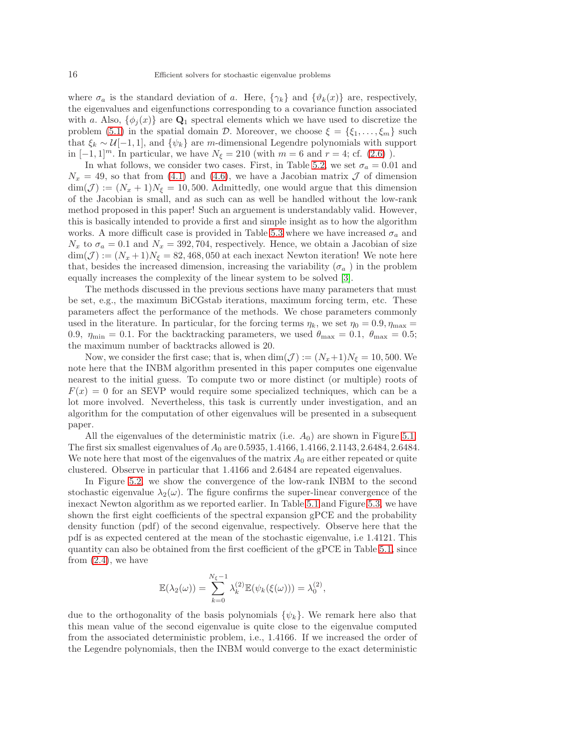where  $\sigma_a$  is the standard deviation of a. Here,  $\{\gamma_k\}$  and  $\{\vartheta_k(x)\}\$ are, respectively, the eigenvalues and eigenfunctions corresponding to a covariance function associated with a. Also,  $\{\phi_i(x)\}\$ are  $\mathbf{Q}_1$  spectral elements which we have used to discretize the problem [\(5.1\)](#page-14-0) in the spatial domain D. Moreover, we choose  $\xi = {\xi_1, \ldots, \xi_m}$  such that  $\xi_k \sim \mathcal{U}[-1,1]$ , and  $\{\psi_k\}$  are m-dimensional Legendre polynomials with support in  $[-1, 1]^m$ . In particular, we have  $N_{\xi} = 210$  (with  $m = 6$  and  $r = 4$ ; cf. [\(2.6\)](#page-3-5)).

In what follows, we consider two cases. First, in Table [5.2,](#page-18-4) we set  $\sigma_a = 0.01$  and  $N_x = 49$ , so that from [\(4.1\)](#page-5-4) and [\(4.6\)](#page-5-3), we have a Jacobian matrix  $\mathcal J$  of dimension  $\dim(\mathcal{J}) := (N_x + 1)N_{\xi} = 10,500$ . Admittedly, one would argue that this dimension of the Jacobian is small, and as such can as well be handled without the low-rank method proposed in this paper! Such an arguement is understandably valid. However, this is basically intended to provide a first and simple insight as to how the algorithm works. A more difficult case is provided in Table [5.3](#page-18-5) where we have increased  $\sigma_a$  and  $N_x$  to  $\sigma_a = 0.1$  and  $N_x = 392, 704$ , respectively. Hence, we obtain a Jacobian of size  $\dim(\mathcal{J}) := (N_x + 1)N_\xi = 82,468,050$  at each inexact Newton iteration! We note here that, besides the increased dimension, increasing the variability ( $\sigma_a$ ) in the problem equally increases the complexity of the linear system to be solved [\[3\]](#page-18-0).

The methods discussed in the previous sections have many parameters that must be set, e.g., the maximum BiCGstab iterations, maximum forcing term, etc. These parameters affect the performance of the methods. We chose parameters commonly used in the literature. In particular, for the forcing terms  $\eta_k$ , we set  $\eta_0 = 0.9$ ,  $\eta_{\text{max}} =$ 0.9,  $\eta_{\text{min}} = 0.1$ . For the backtracking parameters, we used  $\theta_{\text{max}} = 0.1$ ,  $\theta_{\text{max}} = 0.5$ ; the maximum number of backtracks allowed is 20.

Now, we consider the first case; that is, when  $\dim(\mathcal{J}) := (N_x+1)N_{\xi} = 10, 500$ . We note here that the INBM algorithm presented in this paper computes one eigenvalue nearest to the initial guess. To compute two or more distinct (or multiple) roots of  $F(x) = 0$  for an SEVP would require some specialized techniques, which can be a lot more involved. Nevertheless, this task is currently under investigation, and an algorithm for the computation of other eigenvalues will be presented in a subsequent paper.

All the eigenvalues of the deterministic matrix (i.e.  $A_0$ ) are shown in Figure [5.1.](#page-16-0) The first six smallest eigenvalues of  $A_0$  are 0.5935, 1.4166, 1.4166, 2.1143, 2.6484, 2.6484. We note here that most of the eigenvalues of the matrix  $A_0$  are either repeated or quite clustered. Observe in particular that 1.4166 and 2.6484 are repeated eigenvalues.

In Figure [5.2,](#page-16-1) we show the convergence of the low-rank INBM to the second stochastic eigenvalue  $\lambda_2(\omega)$ . The figure confirms the super-linear convergence of the inexact Newton algorithm as we reported earlier. In Table [5.1](#page-16-2) and Figure [5.3,](#page-17-0) we have shown the first eight coefficients of the spectral expansion gPCE and the probability density function (pdf) of the second eigenvalue, respectively. Observe here that the pdf is as expected centered at the mean of the stochastic eigenvalue, i.e 1.4121. This quantity can also be obtained from the first coefficient of the gPCE in Table [5.1,](#page-16-2) since from  $(2.4)$ , we have

$$
\mathbb{E}(\lambda_2(\omega)) = \sum_{k=0}^{N_{\xi}-1} \lambda_k^{(2)} \mathbb{E}(\psi_k(\xi(\omega))) = \lambda_0^{(2)},
$$

due to the orthogonality of the basis polynomials  $\{\psi_k\}$ . We remark here also that this mean value of the second eigenvalue is quite close to the eigenvalue computed from the associated deterministic problem, i.e., 1.4166. If we increased the order of the Legendre polynomials, then the INBM would converge to the exact deterministic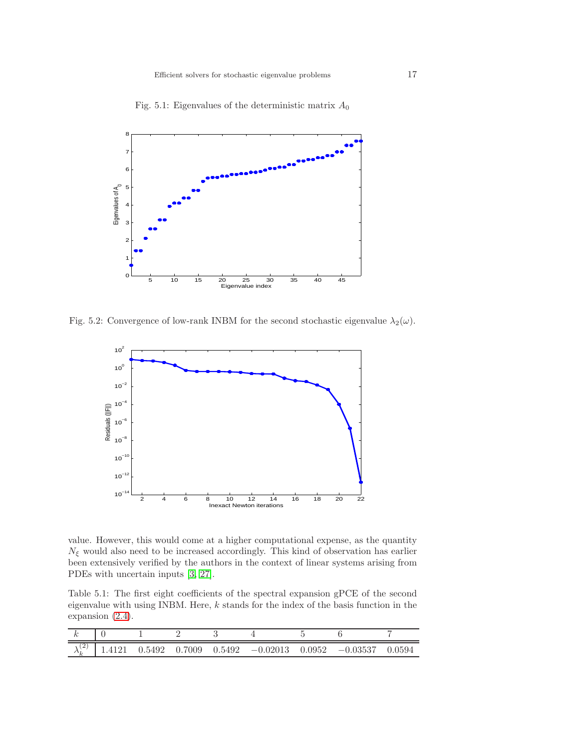<span id="page-16-0"></span>

Fig. 5.1: Eigenvalues of the deterministic matrix  $A_0$ 

<span id="page-16-1"></span>Fig. 5.2: Convergence of low-rank INBM for the second stochastic eigenvalue  $\lambda_2(\omega)$ .



value. However, this would come at a higher computational expense, as the quantity  $N_{\xi}$  would also need to be increased accordingly. This kind of observation has earlier been extensively verified by the authors in the context of linear systems arising from PDEs with uncertain inputs [\[3,](#page-18-0) [27\]](#page-19-9).

<span id="page-16-2"></span>Table 5.1: The first eight coefficients of the spectral expansion gPCE of the second eigenvalue with using INBM. Here,  $k$  stands for the index of the basis function in the expansion [\(2.4\)](#page-2-2).

| ำ<br>∼ | 1.5492 | 0.7009 | 0.5492 | $-0.02013$ | 0.0952 | $-0.03537$ | 0.0594 |
|--------|--------|--------|--------|------------|--------|------------|--------|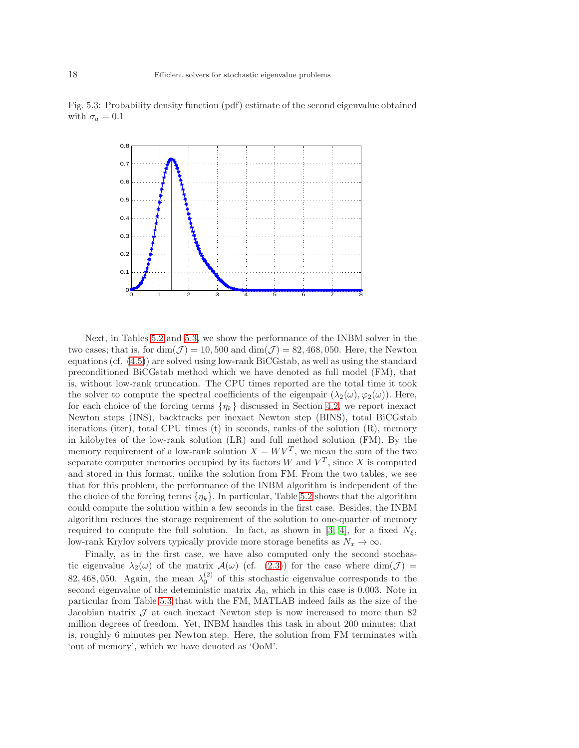

<span id="page-17-0"></span>Fig. 5.3: Probability density function (pdf) estimate of the second eigenvalue obtained with  $\sigma_a = 0.1$ 

Next, in Tables [5.2](#page-18-4) and [5.3,](#page-18-5) we show the performance of the INBM solver in the two cases; that is, for  $\dim(\mathcal{J}) = 10,500$  and  $\dim(\mathcal{J}) = 82,468,050$ . Here, the Newton equations (cf. [\(4.5\)](#page-5-2)) are solved using low-rank BiCGstab, as well as using the standard preconditioned BiCGstab method which we have denoted as full model (FM), that is, without low-rank truncation. The CPU times reported are the total time it took the solver to compute the spectral coefficients of the eigenpair  $(\lambda_2(\omega), \varphi_2(\omega))$ . Here, for each choice of the forcing terms  $\{\eta_k\}$  discussed in Section [4.2,](#page-6-4) we report inexact Newton steps (INS), backtracks per inexact Newton step (BINS), total BiCGstab iterations (iter), total CPU times (t) in seconds, ranks of the solution (R), memory in kilobytes of the low-rank solution (LR) and full method solution (FM). By the memory requirement of a low-rank solution  $X = W V^T$ , we mean the sum of the two separate computer memories occupied by its factors  $W$  and  $V^T$ , since X is computed and stored in this format, unlike the solution from FM. From the two tables, we see that for this problem, the performance of the INBM algorithm is independent of the the choice of the forcing terms  $\{\eta_k\}$ . In particular, Table [5.2](#page-18-4) shows that the algorithm could compute the solution within a few seconds in the first case. Besides, the INBM algorithm reduces the storage requirement of the solution to one-quarter of memory required to compute the full solution. In fact, as shown in [\[3,](#page-18-0) [4\]](#page-19-5), for a fixed  $N_{\epsilon}$ , low-rank Krylov solvers typically provide more storage benefits as  $N_x \to \infty$ .

Finally, as in the first case, we have also computed only the second stochastic eigenvalue  $\lambda_2(\omega)$  of the matrix  $\mathcal{A}(\omega)$  (cf. [\(2.3\)](#page-2-3)) for the case where  $\dim(\mathcal{J}) =$ 82, 468, 050. Again, the mean  $\lambda_0^{(2)}$  of this stochastic eigenvalue corresponds to the second eigenvalue of the deteministic matrix  $A_0$ , which in this case is 0.003. Note in particular from Table [5.3](#page-18-5) that with the FM, MATLAB indeed fails as the size of the Jacobian matrix  $\mathcal J$  at each inexact Newton step is now increased to more than 82 million degrees of freedom. Yet, INBM handles this task in about 200 minutes; that is, roughly 6 minutes per Newton step. Here, the solution from FM terminates with 'out of memory', which we have denoted as 'OoM'.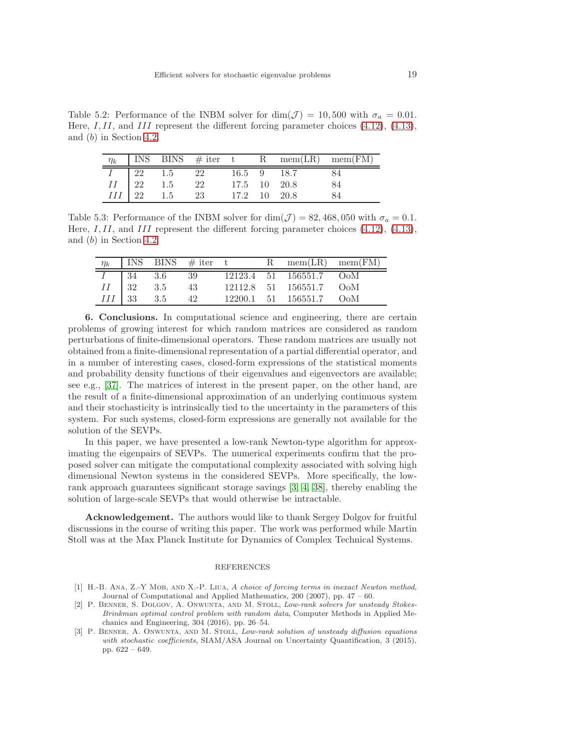Table 5.2: Performance of the INBM solver for  $\dim(\mathcal{J}) = 10,500$  with  $\sigma_a = 0.01$ . Here, I, II, and III represent the different forcing parameter choices  $(4.12)$ ,  $(4.13)$ , and (b) in Section [4.2.](#page-6-4)

<span id="page-18-4"></span>

|  |                                                                                                                                                                                                                                                      |  | $\boxed{\eta_k \quad \text{INS} \quad \text{BINS} \quad \# \text{ iter } \quad t \qquad R \quad \text{mem(LR)} \quad \text{mem(FM)} }$ |
|--|------------------------------------------------------------------------------------------------------------------------------------------------------------------------------------------------------------------------------------------------------|--|----------------------------------------------------------------------------------------------------------------------------------------|
|  | $\begin{tabular}{ c c c c c c c c c } \hline $I$ & $22$ & $1.5$ & $22$ & $16.5$ & $9$ & $18.7$ \\ \hline $II$ & $22$ & $1.5$ & $22$ & $17.5$ & $10$ & $20.8$ \\ \hline $III$ & $22$ & $1.5$ & $23$ & $17.2$ & $10$ & $20.8$ \\ \hline \end{tabular}$ |  |                                                                                                                                        |
|  |                                                                                                                                                                                                                                                      |  |                                                                                                                                        |
|  |                                                                                                                                                                                                                                                      |  |                                                                                                                                        |

Table 5.3: Performance of the INBM solver for  $\dim(\mathcal{J}) = 82,468,050$  with  $\sigma_a = 0.1$ . Here, I, II, and III represent the different forcing parameter choices  $(4.12)$ ,  $(4.13)$ , and (b) in Section [4.2.](#page-6-4)

<span id="page-18-5"></span>

| $\eta_k$      |    |         | $ $ INS BINS $\#$ iter t |  | $R = mem(LR) = mem(FM)$ |  |
|---------------|----|---------|--------------------------|--|-------------------------|--|
|               | 34 | $3.6\,$ | - 39                     |  | 12123.4 51 156551.7 OoM |  |
| $II \mid 32$  |    | 3.5     | 43                       |  | 12112.8 51 156551.7 OoM |  |
| $III \mid 33$ |    | 3.5     | 42                       |  | 12200.1 51 156551.7 OoM |  |

<span id="page-18-2"></span>6. Conclusions. In computational science and engineering, there are certain problems of growing interest for which random matrices are considered as random perturbations of finite-dimensional operators. These random matrices are usually not obtained from a finite-dimensional representation of a partial differential operator, and in a number of interesting cases, closed-form expressions of the statistical moments and probability density functions of their eigenvalues and eigenvectors are available; see e.g., [\[37\]](#page-20-13). The matrices of interest in the present paper, on the other hand, are the result of a finite-dimensional approximation of an underlying continuous system and their stochasticity is intrinsically tied to the uncertainty in the parameters of this system. For such systems, closed-form expressions are generally not available for the solution of the SEVPs.

In this paper, we have presented a low-rank Newton-type algorithm for approximating the eigenpairs of SEVPs. The numerical experiments confirm that the proposed solver can mitigate the computational complexity associated with solving high dimensional Newton systems in the considered SEVPs. More specifically, the lowrank approach guarantees significant storage savings [\[3,](#page-18-0) [4,](#page-19-5) [38\]](#page-20-12), thereby enabling the solution of large-scale SEVPs that would otherwise be intractable.

Acknowledgement. The authors would like to thank Sergey Dolgov for fruitful discussions in the course of writing this paper. The work was performed while Martin Stoll was at the Max Planck Institute for Dynamics of Complex Technical Systems.

### REFERENCES

- <span id="page-18-1"></span>[1] H.-B. Ana, Z.-Y Mob, and X.-P. Liua, A choice of forcing terms in inexact Newton method, Journal of Computational and Applied Mathematics, 200 (2007), pp. 47 – 60.
- <span id="page-18-3"></span>[2] P. Benner, S. Dolgov, A. Onwunta, and M. Stoll, Low-rank solvers for unsteady Stokes-Brinkman optimal control problem with random data, Computer Methods in Applied Mechanics and Engineering, 304 (2016), pp. 26–54.
- <span id="page-18-0"></span>[3] P. BENNER, A. ONWUNTA, AND M. STOLL, Low-rank solution of unsteady diffusion equations with stochastic coefficients, SIAM/ASA Journal on Uncertainty Quantification, 3 (2015), pp. 622 – 649.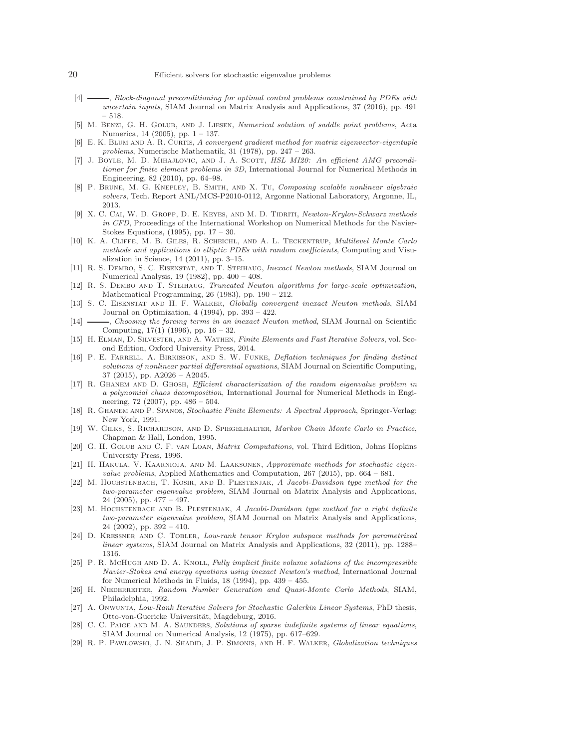### 20 Efficient solvers for stochastic eigenvalue problems

- <span id="page-19-5"></span>[4]  $\longrightarrow$ , Block-diagonal preconditioning for optimal control problems constrained by PDEs with uncertain inputs, SIAM Journal on Matrix Analysis and Applications, 37 (2016), pp. 491 – 518.
- <span id="page-19-18"></span>[5] M. Benzi, G. H. Golub, and J. Liesen, Numerical solution of saddle point problems, Acta Numerica, 14 (2005), pp. 1 – 137.
- <span id="page-19-10"></span>[6] E. K. Blum and A. R. Curtis, A convergent gradient method for matrix eigenvector-eigentuple problems, Numerische Mathematik, 31 (1978), pp. 247 – 263.
- <span id="page-19-23"></span>[7] J. BOYLE, M. D. MIHAJLOVIC, AND J. A. SCOTT, HSL MI20: An efficient AMG preconditioner for finite element problems in 3D, International Journal for Numerical Methods in Engineering, 82 (2010), pp. 64–98.
- <span id="page-19-25"></span>[8] P. Brune, M. G. Knepley, B. Smith, and X. Tu, Composing scalable nonlinear algebraic solvers, Tech. Report ANL/MCS-P2010-0112, Argonne National Laboratory, Argonne, IL, 2013.
- <span id="page-19-16"></span>[9] X. C. CAI, W. D. GROPP, D. E. KEYES, AND M. D. TIDRITI, Newton-Krylov-Schwarz methods in CFD, Proceedings of the International Workshop on Numerical Methods for the Navier-Stokes Equations, (1995), pp. 17 – 30.
- <span id="page-19-1"></span>[10] K. A. Cliffe, M. B. Giles, R. Scheichl, and A. L. Teckentrup, Multilevel Monte Carlo methods and applications to elliptic PDEs with random coefficients, Computing and Visualization in Science, 14 (2011), pp. 3–15.
- <span id="page-19-13"></span>[11] R. S. Dembo, S. C. Eisenstat, and T. Steihaug, Inexact Newton methods, SIAM Journal on Numerical Analysis, 19 (1982), pp. 400 – 408.
- <span id="page-19-15"></span>[12] R. S. Dembo and T. Steihaug, Truncated Newton algorithms for large-scale optimization, Mathematical Programming, 26 (1983), pp. 190 – 212.
- <span id="page-19-21"></span>[13] S. C. Eisenstat and H. F. Walker, Globally convergent inexact Newton methods, SIAM Journal on Optimization, 4 (1994), pp. 393 – 422.
- <span id="page-19-8"></span>-, Choosing the forcing terms in an inexact Newton method, SIAM Journal on Scientific Computing, 17(1) (1996), pp. 16 – 32.
- <span id="page-19-17"></span>[15] H. Elman, D. Silvester, and A. Wathen, Finite Elements and Fast Iterative Solvers, vol. Second Edition, Oxford University Press, 2014.
- <span id="page-19-24"></span>[16] P. E. FARRELL, A. BIRKISSON, AND S. W. FUNKE, Deflation techniques for finding distinct solutions of nonlinear partial differential equations, SIAM Journal on Scientific Computing, 37 (2015), pp. A2026 – A2045.
- <span id="page-19-6"></span>[17] R. Ghanem and D. Ghosh, Efficient characterization of the random eigenvalue problem in a polynomial chaos decomposition, International Journal for Numerical Methods in Engineering, 72 (2007), pp. 486 – 504.
- <span id="page-19-4"></span>[18] R. Ghanem and P. Spanos, Stochastic Finite Elements: A Spectral Approach, Springer-Verlag: New York, 1991.
- <span id="page-19-3"></span>[19] W. Gilks, S. Richardson, and D. Spiegelhalter, Markov Chain Monte Carlo in Practice, Chapman & Hall, London, 1995.
- <span id="page-19-0"></span>[20] G. H. Golub and C. F. van Loan, Matrix Computations, vol. Third Edition, Johns Hopkins University Press, 1996.
- <span id="page-19-7"></span>[21] H. Hakula, V. Kaarnioja, and M. Laaksonen, Approximate methods for stochastic eigenvalue problems, Applied Mathematics and Computation, 267 (2015), pp. 664 – 681.
- <span id="page-19-11"></span>[22] M. Hochstenbach, T. Kosir, and B. Plestenjak, A Jacobi-Davidson type method for the two-parameter eigenvalue problem, SIAM Journal on Matrix Analysis and Applications, 24 (2005), pp. 477 – 497.
- <span id="page-19-12"></span>[23] M. HOCHSTENBACH AND B. PLESTENJAK, A Jacobi-Davidson type method for a right definite two-parameter eigenvalue problem, SIAM Journal on Matrix Analysis and Applications, 24 (2002), pp. 392 – 410.
- <span id="page-19-22"></span>[24] D. Kressner and C. Tobler, Low-rank tensor Krylov subspace methods for parametrized linear systems, SIAM Journal on Matrix Analysis and Applications, 32 (2011), pp. 1288– 1316.
- <span id="page-19-14"></span>[25] P. R. McHugh and D. A. Knoll, Fully implicit finite volume solutions of the incompressible Navier-Stokes and energy equations using inexact Newton's method, International Journal for Numerical Methods in Fluids, 18 (1994), pp. 439 – 455.
- <span id="page-19-2"></span>[26] H. NIEDERREITER, Random Number Generation and Quasi-Monte Carlo Methods, SIAM, Philadelphia, 1992.
- <span id="page-19-9"></span>[27] A. Onwunta, Low-Rank Iterative Solvers for Stochastic Galerkin Linear Systems, PhD thesis, Otto-von-Guericke Universität, Magdeburg, 2016.
- <span id="page-19-19"></span>[28] C. C. PAIGE AND M. A. SAUNDERS, Solutions of sparse indefinite systems of linear equations, SIAM Journal on Numerical Analysis, 12 (1975), pp. 617–629.
- <span id="page-19-20"></span>[29] R. P. PAWLOWSKI, J. N. SHADID, J. P. SIMONIS, AND H. F. WALKER, Globalization techniques